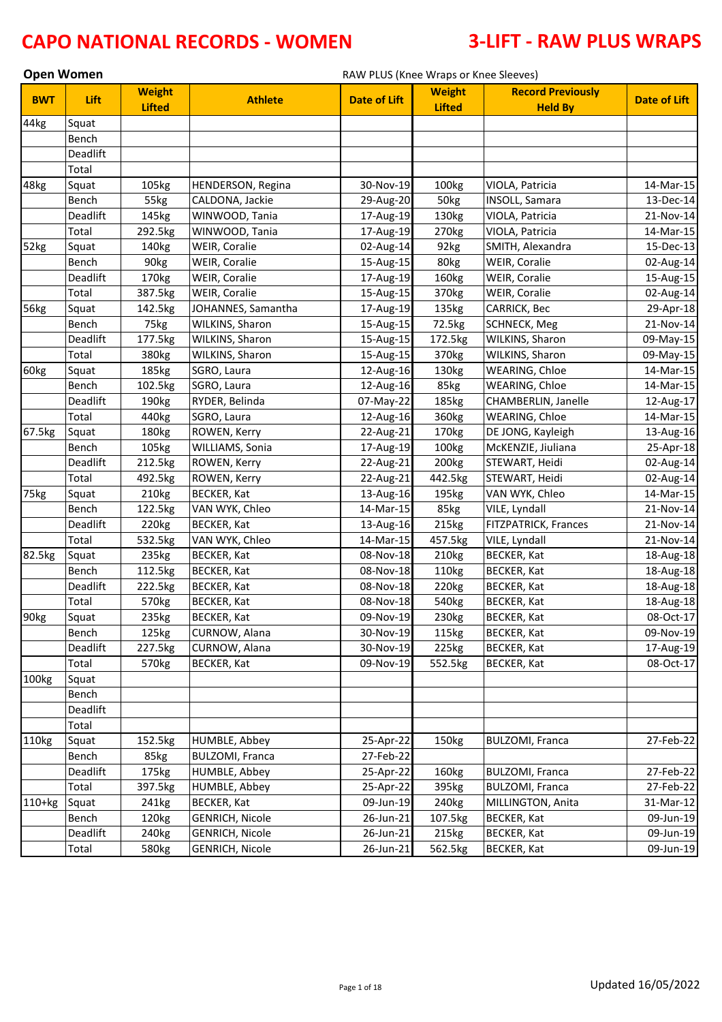| <b>Open Women</b><br>RAW PLUS (Knee Wraps or Knee Sleeves) |          |                                |                          |                     |                                |                                            |                     |
|------------------------------------------------------------|----------|--------------------------------|--------------------------|---------------------|--------------------------------|--------------------------------------------|---------------------|
| <b>BWT</b>                                                 | Lift     | <b>Weight</b><br><b>Lifted</b> | <b>Athlete</b>           | <b>Date of Lift</b> | <b>Weight</b><br><b>Lifted</b> | <b>Record Previously</b><br><b>Held By</b> | <b>Date of Lift</b> |
| 44kg                                                       | Squat    |                                |                          |                     |                                |                                            |                     |
|                                                            | Bench    |                                |                          |                     |                                |                                            |                     |
|                                                            | Deadlift |                                |                          |                     |                                |                                            |                     |
|                                                            | Total    |                                |                          |                     |                                |                                            |                     |
| 48kg                                                       | Squat    | 105kg                          | <b>HENDERSON, Regina</b> | 30-Nov-19           | 100kg                          | VIOLA, Patricia                            | 14-Mar-15           |
|                                                            | Bench    | 55kg                           | CALDONA, Jackie          | 29-Aug-20           | 50kg                           | <b>INSOLL, Samara</b>                      | 13-Dec-14           |
|                                                            | Deadlift | 145kg                          | WINWOOD, Tania           | 17-Aug-19           | 130kg                          | VIOLA, Patricia                            | 21-Nov-14           |
|                                                            | Total    | 292.5kg                        | WINWOOD, Tania           | 17-Aug-19           | 270kg                          | VIOLA, Patricia                            | 14-Mar-15           |
| 52kg                                                       | Squat    | 140kg                          | WEIR, Coralie            | 02-Aug-14           | 92kg                           | SMITH, Alexandra                           | 15-Dec-13           |
|                                                            | Bench    | 90kg                           | WEIR, Coralie            | 15-Aug-15           | 80kg                           | WEIR, Coralie                              | 02-Aug-14           |
|                                                            | Deadlift | 170kg                          | WEIR, Coralie            | 17-Aug-19           | 160kg                          | WEIR, Coralie                              | 15-Aug-15           |
|                                                            | Total    | 387.5kg                        | WEIR, Coralie            | 15-Aug-15           | 370kg                          | WEIR, Coralie                              | 02-Aug-14           |
| 56kg                                                       | Squat    | 142.5kg                        | JOHANNES, Samantha       | 17-Aug-19           | 135kg                          | CARRICK, Bec                               | 29-Apr-18           |
|                                                            | Bench    | 75kg                           | WILKINS, Sharon          | 15-Aug-15           | 72.5kg                         | <b>SCHNECK, Meg</b>                        | 21-Nov-14           |
|                                                            | Deadlift | 177.5kg                        | WILKINS, Sharon          | 15-Aug-15           | 172.5kg                        | WILKINS, Sharon                            | 09-May-15           |
|                                                            | Total    | 380kg                          | WILKINS, Sharon          | 15-Aug-15           | 370kg                          | WILKINS, Sharon                            | 09-May-15           |
| 60kg                                                       | Squat    | 185kg                          | SGRO, Laura              | 12-Aug-16           | 130kg                          | WEARING, Chloe                             | 14-Mar-15           |
|                                                            | Bench    | 102.5kg                        | SGRO, Laura              | 12-Aug-16           | 85kg                           | WEARING, Chloe                             | 14-Mar-15           |
|                                                            | Deadlift | 190kg                          | RYDER, Belinda           | 07-May-22           | 185kg                          | CHAMBERLIN, Janelle                        | 12-Aug-17           |
|                                                            | Total    | 440kg                          | SGRO, Laura              | 12-Aug-16           | 360kg                          | WEARING, Chloe                             | 14-Mar-15           |
| 67.5kg                                                     | Squat    | 180kg                          | ROWEN, Kerry             | 22-Aug-21           | 170kg                          | DE JONG, Kayleigh                          | 13-Aug-16           |
|                                                            | Bench    | 105kg                          | WILLIAMS, Sonia          | 17-Aug-19           | 100kg                          | McKENZIE, Jiuliana                         | 25-Apr-18           |
|                                                            | Deadlift | 212.5kg                        | ROWEN, Kerry             | 22-Aug-21           | 200 <sub>kg</sub>              | STEWART, Heidi                             | 02-Aug-14           |
|                                                            | Total    | 492.5kg                        | ROWEN, Kerry             | 22-Aug-21           | 442.5kg                        | STEWART, Heidi                             | 02-Aug-14           |
| 75kg                                                       | Squat    | 210kg                          | <b>BECKER, Kat</b>       | 13-Aug-16           | 195kg                          | VAN WYK, Chleo                             | 14-Mar-15           |
|                                                            | Bench    | 122.5kg                        | VAN WYK, Chleo           | 14-Mar-15           | 85kg                           | VILE, Lyndall                              | 21-Nov-14           |
|                                                            | Deadlift | 220kg                          | <b>BECKER, Kat</b>       | 13-Aug-16           | 215kg                          | FITZPATRICK, Frances                       | 21-Nov-14           |
|                                                            | Total    | 532.5kg                        | VAN WYK, Chleo           | 14-Mar-15           | 457.5kg                        | VILE, Lyndall                              | 21-Nov-14           |
| 82.5kg                                                     | Squat    | 235kg                          | BECKER, Kat              | 08-Nov-18           | 210kg                          | BECKER, Kat                                | 18-Aug-18           |
|                                                            | Bench    | 112.5kg                        | <b>BECKER, Kat</b>       | 08-Nov-18           | 110kg                          | <b>BECKER, Kat</b>                         | 18-Aug-18           |
|                                                            | Deadlift | 222.5kg                        | <b>BECKER, Kat</b>       | 08-Nov-18           | 220kg                          | BECKER, Kat                                | 18-Aug-18           |
|                                                            | Total    | 570kg                          | <b>BECKER, Kat</b>       | 08-Nov-18           | 540kg                          | BECKER, Kat                                | 18-Aug-18           |
| 90kg                                                       | Squat    | 235kg                          | <b>BECKER, Kat</b>       | 09-Nov-19           | 230kg                          | <b>BECKER, Kat</b>                         | 08-Oct-17           |
|                                                            | Bench    | 125kg                          | CURNOW, Alana            | 30-Nov-19           | 115kg                          | BECKER, Kat                                | 09-Nov-19           |
|                                                            | Deadlift | 227.5kg                        | CURNOW, Alana            | 30-Nov-19           | 225kg                          | BECKER, Kat                                | 17-Aug-19           |
|                                                            | Total    | 570kg                          | <b>BECKER, Kat</b>       | 09-Nov-19           | 552.5kg                        | <b>BECKER, Kat</b>                         | 08-Oct-17           |
| 100kg                                                      | Squat    |                                |                          |                     |                                |                                            |                     |
|                                                            | Bench    |                                |                          |                     |                                |                                            |                     |
|                                                            | Deadlift |                                |                          |                     |                                |                                            |                     |
|                                                            | Total    |                                |                          |                     |                                |                                            |                     |
| 110kg                                                      | Squat    | 152.5kg                        | HUMBLE, Abbey            | 25-Apr-22           | 150kg                          | <b>BULZOMI, Franca</b>                     | 27-Feb-22           |
|                                                            | Bench    | 85kg                           | <b>BULZOMI, Franca</b>   | 27-Feb-22           |                                |                                            |                     |
|                                                            | Deadlift | 175kg                          | HUMBLE, Abbey            | 25-Apr-22           | 160kg                          | <b>BULZOMI, Franca</b>                     | 27-Feb-22           |
|                                                            | Total    | 397.5kg                        | HUMBLE, Abbey            | 25-Apr-22           | 395kg                          | <b>BULZOMI, Franca</b>                     | 27-Feb-22           |
| $110+kg$                                                   | Squat    | 241kg                          | <b>BECKER, Kat</b>       | 09-Jun-19           | 240 <sub>kg</sub>              | MILLINGTON, Anita                          | 31-Mar-12           |
|                                                            | Bench    | 120kg                          | <b>GENRICH, Nicole</b>   | 26-Jun-21           | 107.5kg                        | <b>BECKER, Kat</b>                         | 09-Jun-19           |
|                                                            | Deadlift | 240 <sub>kg</sub>              | <b>GENRICH, Nicole</b>   | 26-Jun-21           | 215kg                          | BECKER, Kat                                | 09-Jun-19           |
|                                                            | Total    | 580kg                          | <b>GENRICH, Nicole</b>   | 26-Jun-21           | 562.5kg                        | <b>BECKER, Kat</b>                         | 09-Jun-19           |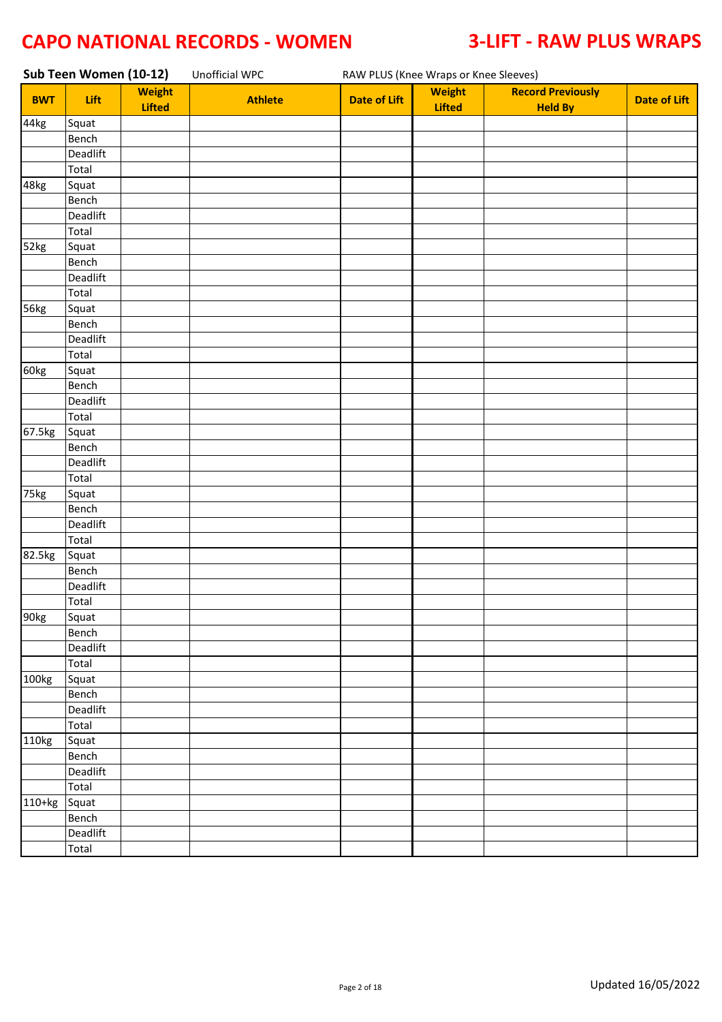|            | Sub Teen Women (10-12) |                                | Unofficial WPC |                     | RAW PLUS (Knee Wraps or Knee Sleeves) |                                            |                     |  |  |  |
|------------|------------------------|--------------------------------|----------------|---------------------|---------------------------------------|--------------------------------------------|---------------------|--|--|--|
| <b>BWT</b> | Lift                   | <b>Weight</b><br><b>Lifted</b> | <b>Athlete</b> | <b>Date of Lift</b> | <b>Weight</b><br><b>Lifted</b>        | <b>Record Previously</b><br><b>Held By</b> | <b>Date of Lift</b> |  |  |  |
| 44kg       | Squat                  |                                |                |                     |                                       |                                            |                     |  |  |  |
|            | Bench                  |                                |                |                     |                                       |                                            |                     |  |  |  |
|            | Deadlift               |                                |                |                     |                                       |                                            |                     |  |  |  |
|            | Total                  |                                |                |                     |                                       |                                            |                     |  |  |  |
| 48kg       | Squat                  |                                |                |                     |                                       |                                            |                     |  |  |  |
|            | Bench                  |                                |                |                     |                                       |                                            |                     |  |  |  |
|            | Deadlift               |                                |                |                     |                                       |                                            |                     |  |  |  |
|            | Total                  |                                |                |                     |                                       |                                            |                     |  |  |  |
| 52kg       | Squat                  |                                |                |                     |                                       |                                            |                     |  |  |  |
|            | Bench                  |                                |                |                     |                                       |                                            |                     |  |  |  |
|            | Deadlift               |                                |                |                     |                                       |                                            |                     |  |  |  |
|            | Total                  |                                |                |                     |                                       |                                            |                     |  |  |  |
| 56kg       | Squat                  |                                |                |                     |                                       |                                            |                     |  |  |  |
|            | Bench                  |                                |                |                     |                                       |                                            |                     |  |  |  |
|            | Deadlift               |                                |                |                     |                                       |                                            |                     |  |  |  |
|            | Total                  |                                |                |                     |                                       |                                            |                     |  |  |  |
| 60kg       | Squat                  |                                |                |                     |                                       |                                            |                     |  |  |  |
|            | Bench                  |                                |                |                     |                                       |                                            |                     |  |  |  |
|            | Deadlift               |                                |                |                     |                                       |                                            |                     |  |  |  |
|            | Total                  |                                |                |                     |                                       |                                            |                     |  |  |  |
| 67.5kg     | Squat                  |                                |                |                     |                                       |                                            |                     |  |  |  |
|            | Bench                  |                                |                |                     |                                       |                                            |                     |  |  |  |
|            | Deadlift               |                                |                |                     |                                       |                                            |                     |  |  |  |
|            | Total                  |                                |                |                     |                                       |                                            |                     |  |  |  |
| 75kg       | Squat                  |                                |                |                     |                                       |                                            |                     |  |  |  |
|            | Bench                  |                                |                |                     |                                       |                                            |                     |  |  |  |
|            | Deadlift               |                                |                |                     |                                       |                                            |                     |  |  |  |
|            | Total                  |                                |                |                     |                                       |                                            |                     |  |  |  |
| 82.5kg     | Squat                  |                                |                |                     |                                       |                                            |                     |  |  |  |
|            | Bench                  |                                |                |                     |                                       |                                            |                     |  |  |  |
|            | Deadlift               |                                |                |                     |                                       |                                            |                     |  |  |  |
|            | Total                  |                                |                |                     |                                       |                                            |                     |  |  |  |
| 90kg       | Squat                  |                                |                |                     |                                       |                                            |                     |  |  |  |
|            | Bench                  |                                |                |                     |                                       |                                            |                     |  |  |  |
|            | Deadlift               |                                |                |                     |                                       |                                            |                     |  |  |  |
|            | Total                  |                                |                |                     |                                       |                                            |                     |  |  |  |
| 100kg      | Squat                  |                                |                |                     |                                       |                                            |                     |  |  |  |
|            | Bench                  |                                |                |                     |                                       |                                            |                     |  |  |  |
|            | Deadlift               |                                |                |                     |                                       |                                            |                     |  |  |  |
|            | Total                  |                                |                |                     |                                       |                                            |                     |  |  |  |
| 110kg      | Squat                  |                                |                |                     |                                       |                                            |                     |  |  |  |
|            | Bench                  |                                |                |                     |                                       |                                            |                     |  |  |  |
|            | Deadlift               |                                |                |                     |                                       |                                            |                     |  |  |  |
|            | Total                  |                                |                |                     |                                       |                                            |                     |  |  |  |
| 110+kg     | Squat                  |                                |                |                     |                                       |                                            |                     |  |  |  |
|            | Bench                  |                                |                |                     |                                       |                                            |                     |  |  |  |
|            | Deadlift               |                                |                |                     |                                       |                                            |                     |  |  |  |
|            | Total                  |                                |                |                     |                                       |                                            |                     |  |  |  |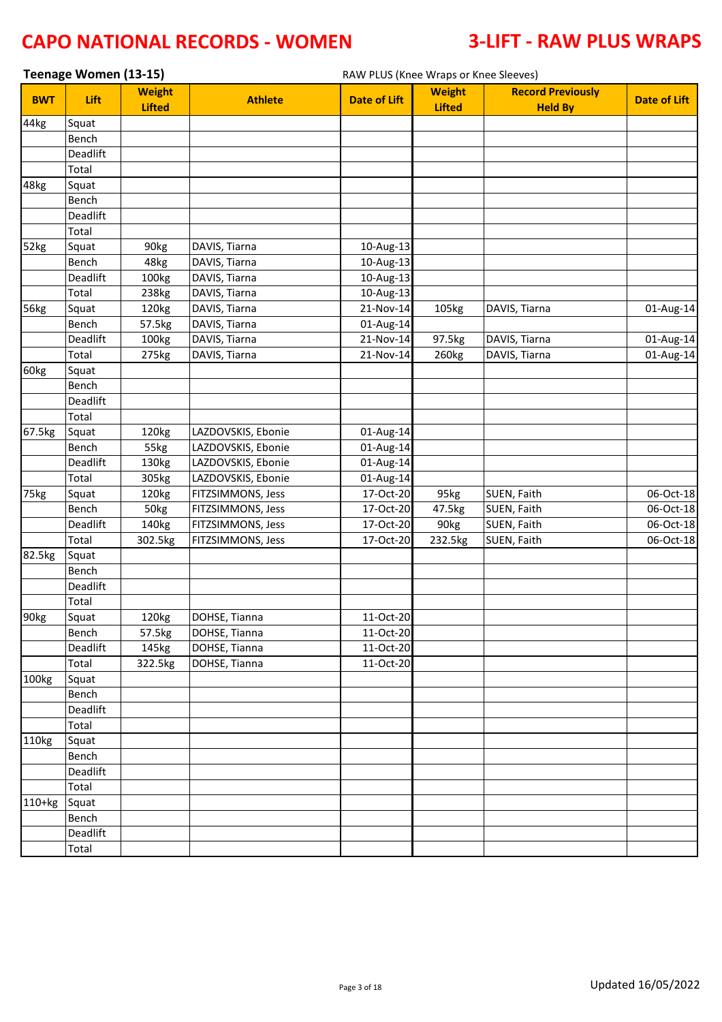|            | Teenage Women (13-15) |                                |                    | RAW PLUS (Knee Wraps or Knee Sleeves) |                                |                                            |                     |
|------------|-----------------------|--------------------------------|--------------------|---------------------------------------|--------------------------------|--------------------------------------------|---------------------|
| <b>BWT</b> | Lift                  | <b>Weight</b><br><b>Lifted</b> | <b>Athlete</b>     | <b>Date of Lift</b>                   | <b>Weight</b><br><b>Lifted</b> | <b>Record Previously</b><br><b>Held By</b> | <b>Date of Lift</b> |
| 44kg       | Squat                 |                                |                    |                                       |                                |                                            |                     |
|            | Bench                 |                                |                    |                                       |                                |                                            |                     |
|            | Deadlift              |                                |                    |                                       |                                |                                            |                     |
|            | Total                 |                                |                    |                                       |                                |                                            |                     |
| 48kg       | Squat                 |                                |                    |                                       |                                |                                            |                     |
|            | Bench                 |                                |                    |                                       |                                |                                            |                     |
|            | Deadlift              |                                |                    |                                       |                                |                                            |                     |
|            | Total                 |                                |                    |                                       |                                |                                            |                     |
| 52kg       | Squat                 | 90kg                           | DAVIS, Tiarna      | 10-Aug-13                             |                                |                                            |                     |
|            | Bench                 | 48kg                           | DAVIS, Tiarna      | 10-Aug-13                             |                                |                                            |                     |
|            | Deadlift              | 100kg                          | DAVIS, Tiarna      | 10-Aug-13                             |                                |                                            |                     |
|            | Total                 | 238kg                          | DAVIS, Tiarna      | 10-Aug-13                             |                                |                                            |                     |
| 56kg       | Squat                 | 120kg                          | DAVIS, Tiarna      | 21-Nov-14                             | 105kg                          | DAVIS, Tiarna                              | 01-Aug-14           |
|            | Bench                 | 57.5kg                         | DAVIS, Tiarna      | 01-Aug-14                             |                                |                                            |                     |
|            | Deadlift              | 100kg                          | DAVIS, Tiarna      | $21-Nov-14$                           | 97.5kg                         | DAVIS, Tiarna                              | 01-Aug-14           |
|            | Total                 | 275kg                          | DAVIS, Tiarna      | 21-Nov-14                             | 260kg                          | DAVIS, Tiarna                              | 01-Aug-14           |
| 60kg       | Squat                 |                                |                    |                                       |                                |                                            |                     |
|            | Bench                 |                                |                    |                                       |                                |                                            |                     |
|            | Deadlift              |                                |                    |                                       |                                |                                            |                     |
|            | Total                 |                                |                    |                                       |                                |                                            |                     |
| 67.5kg     | Squat                 | 120kg                          | LAZDOVSKIS, Ebonie | 01-Aug-14                             |                                |                                            |                     |
|            | Bench                 | 55kg                           | LAZDOVSKIS, Ebonie | 01-Aug-14                             |                                |                                            |                     |
|            | Deadlift              | 130kg                          | LAZDOVSKIS, Ebonie | 01-Aug-14                             |                                |                                            |                     |
|            | Total                 | 305kg                          | LAZDOVSKIS, Ebonie | 01-Aug-14                             |                                |                                            |                     |
| 75kg       | Squat                 | 120kg                          | FITZSIMMONS, Jess  | $17-Oct-20$                           | 95kg                           | SUEN, Faith                                | 06-Oct-18           |
|            | Bench                 | 50kg                           | FITZSIMMONS, Jess  | 17-Oct-20                             | 47.5kg                         | SUEN, Faith                                | 06-Oct-18           |
|            | Deadlift              | 140kg                          | FITZSIMMONS, Jess  | 17-Oct-20                             | 90kg                           | SUEN, Faith                                | 06-Oct-18           |
|            | Total                 | 302.5kg                        | FITZSIMMONS, Jess  | 17-Oct-20                             | 232.5kg                        | SUEN, Faith                                | 06-Oct-18           |
| 82.5kg     | Squat                 |                                |                    |                                       |                                |                                            |                     |
|            | Bench<br>Deadlift     |                                |                    |                                       |                                |                                            |                     |
|            |                       |                                |                    |                                       |                                |                                            |                     |
| 90kg       | Total                 | 120kg                          | DOHSE, Tianna      |                                       |                                |                                            |                     |
|            | Squat<br>Bench        | 57.5kg                         | DOHSE, Tianna      | 11-Oct-20<br>11-Oct-20                |                                |                                            |                     |
|            | Deadlift              | 145kg                          | DOHSE, Tianna      | 11-Oct-20                             |                                |                                            |                     |
|            | Total                 | 322.5kg                        | DOHSE, Tianna      | 11-Oct-20                             |                                |                                            |                     |
| 100kg      | Squat                 |                                |                    |                                       |                                |                                            |                     |
|            | Bench                 |                                |                    |                                       |                                |                                            |                     |
|            | Deadlift              |                                |                    |                                       |                                |                                            |                     |
|            | Total                 |                                |                    |                                       |                                |                                            |                     |
| 110kg      | Squat                 |                                |                    |                                       |                                |                                            |                     |
|            | Bench                 |                                |                    |                                       |                                |                                            |                     |
|            | Deadlift              |                                |                    |                                       |                                |                                            |                     |
|            | Total                 |                                |                    |                                       |                                |                                            |                     |
| $110+kg$   | Squat                 |                                |                    |                                       |                                |                                            |                     |
|            | Bench                 |                                |                    |                                       |                                |                                            |                     |
|            | Deadlift              |                                |                    |                                       |                                |                                            |                     |
|            | Total                 |                                |                    |                                       |                                |                                            |                     |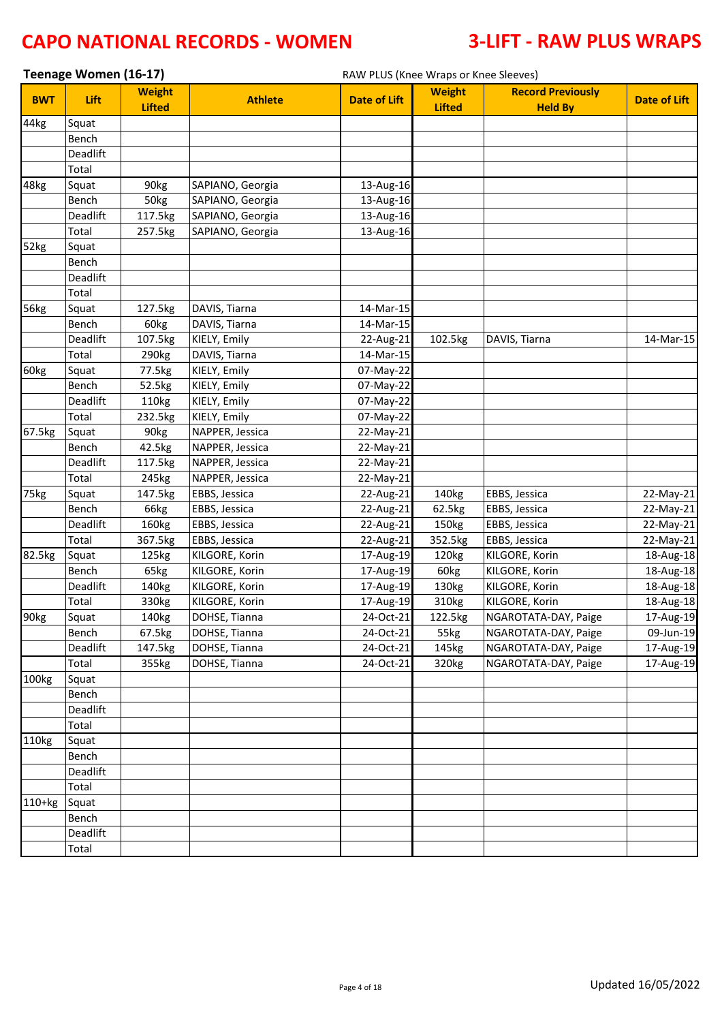|                  | Teenage Women (16-17) |                                |                  | RAW PLUS (Knee Wraps or Knee Sleeves) |                                |                                            |                     |
|------------------|-----------------------|--------------------------------|------------------|---------------------------------------|--------------------------------|--------------------------------------------|---------------------|
| <b>BWT</b>       | Lift                  | <b>Weight</b><br><b>Lifted</b> | <b>Athlete</b>   | <b>Date of Lift</b>                   | <b>Weight</b><br><b>Lifted</b> | <b>Record Previously</b><br><b>Held By</b> | <b>Date of Lift</b> |
| 44kg             | Squat                 |                                |                  |                                       |                                |                                            |                     |
|                  | Bench                 |                                |                  |                                       |                                |                                            |                     |
|                  | Deadlift              |                                |                  |                                       |                                |                                            |                     |
|                  | Total                 |                                |                  |                                       |                                |                                            |                     |
| 48kg             | Squat                 | 90kg                           | SAPIANO, Georgia | 13-Aug-16                             |                                |                                            |                     |
|                  | Bench                 | 50kg                           | SAPIANO, Georgia | 13-Aug-16                             |                                |                                            |                     |
|                  | Deadlift              | 117.5kg                        | SAPIANO, Georgia | 13-Aug-16                             |                                |                                            |                     |
|                  | Total                 | 257.5kg                        | SAPIANO, Georgia | 13-Aug-16                             |                                |                                            |                     |
| 52kg             | Squat                 |                                |                  |                                       |                                |                                            |                     |
|                  | Bench                 |                                |                  |                                       |                                |                                            |                     |
|                  | Deadlift              |                                |                  |                                       |                                |                                            |                     |
|                  | Total                 |                                |                  |                                       |                                |                                            |                     |
| 56kg             | Squat                 | 127.5kg                        | DAVIS, Tiarna    | 14-Mar-15                             |                                |                                            |                     |
|                  | Bench                 | 60kg                           | DAVIS, Tiarna    | 14-Mar-15                             |                                |                                            |                     |
|                  | Deadlift              | 107.5kg                        | KIELY, Emily     | 22-Aug-21                             | 102.5kg                        | DAVIS, Tiarna                              | 14-Mar-15           |
|                  | Total                 | 290 <sub>kg</sub>              | DAVIS, Tiarna    | 14-Mar-15                             |                                |                                            |                     |
| 60kg             | Squat                 | 77.5kg                         | KIELY, Emily     | 07-May-22                             |                                |                                            |                     |
|                  | Bench                 | 52.5kg                         | KIELY, Emily     | 07-May-22                             |                                |                                            |                     |
|                  | Deadlift              | 110kg                          | KIELY, Emily     | 07-May-22                             |                                |                                            |                     |
|                  | Total                 | 232.5kg                        | KIELY, Emily     | 07-May-22                             |                                |                                            |                     |
| 67.5kg           | Squat                 | 90kg                           | NAPPER, Jessica  | 22-May-21                             |                                |                                            |                     |
|                  | Bench                 | 42.5kg                         | NAPPER, Jessica  | 22-May-21                             |                                |                                            |                     |
|                  | Deadlift              | 117.5kg                        | NAPPER, Jessica  | 22-May-21                             |                                |                                            |                     |
|                  | Total                 | 245kg                          | NAPPER, Jessica  | 22-May-21                             |                                |                                            |                     |
| 75kg             | Squat                 | 147.5kg                        | EBBS, Jessica    | 22-Aug-21                             | 140kg                          | EBBS, Jessica                              | 22-May-21           |
|                  | Bench                 | 66kg                           | EBBS, Jessica    | 22-Aug-21                             | 62.5kg                         | EBBS, Jessica                              | 22-May-21           |
|                  | Deadlift              | 160kg                          | EBBS, Jessica    | 22-Aug-21                             | 150kg                          | EBBS, Jessica                              | 22-May-21           |
|                  | Total                 | 367.5kg                        | EBBS, Jessica    | 22-Aug-21                             | 352.5kg                        | EBBS, Jessica                              | 22-May-21           |
| 82.5kg           | Squat                 | 125kg                          | KILGORE, Korin   | 17-Aug-19                             | 120kg                          | KILGORE, Korin                             | 18-Aug-18           |
|                  | Bench                 | 65kg                           | KILGORE, Korin   | 17-Aug-19                             | 60kg                           | KILGORE, Korin                             | 18-Aug-18           |
|                  | Deadlift              | 140kg                          | KILGORE, Korin   | 17-Aug-19                             | 130kg                          | KILGORE, Korin                             | 18-Aug-18           |
|                  | Total                 | 330kg                          | KILGORE, Korin   | 17-Aug-19                             | 310kg                          | KILGORE, Korin                             | 18-Aug-18           |
| 90 <sub>kg</sub> | Squat                 | 140kg                          | DOHSE, Tianna    | 24-Oct-21                             | 122.5kg                        | NGAROTATA-DAY, Paige                       | 17-Aug-19           |
|                  | Bench                 | 67.5kg                         | DOHSE, Tianna    | 24-Oct-21                             | 55kg                           | NGAROTATA-DAY, Paige                       | 09-Jun-19           |
|                  | Deadlift              | 147.5kg                        | DOHSE, Tianna    | 24-Oct-21                             | 145kg                          | NGAROTATA-DAY, Paige                       | 17-Aug-19           |
|                  | Total                 | 355kg                          | DOHSE, Tianna    | 24-Oct-21                             | 320kg                          | NGAROTATA-DAY, Paige                       | 17-Aug-19           |
| 100kg            | Squat                 |                                |                  |                                       |                                |                                            |                     |
|                  | Bench                 |                                |                  |                                       |                                |                                            |                     |
|                  | Deadlift              |                                |                  |                                       |                                |                                            |                     |
|                  | Total                 |                                |                  |                                       |                                |                                            |                     |
| 110kg            | Squat                 |                                |                  |                                       |                                |                                            |                     |
|                  | Bench                 |                                |                  |                                       |                                |                                            |                     |
|                  | Deadlift              |                                |                  |                                       |                                |                                            |                     |
|                  | Total                 |                                |                  |                                       |                                |                                            |                     |
| $110+kg$         | Squat                 |                                |                  |                                       |                                |                                            |                     |
|                  | Bench                 |                                |                  |                                       |                                |                                            |                     |
|                  | Deadlift              |                                |                  |                                       |                                |                                            |                     |
|                  | Total                 |                                |                  |                                       |                                |                                            |                     |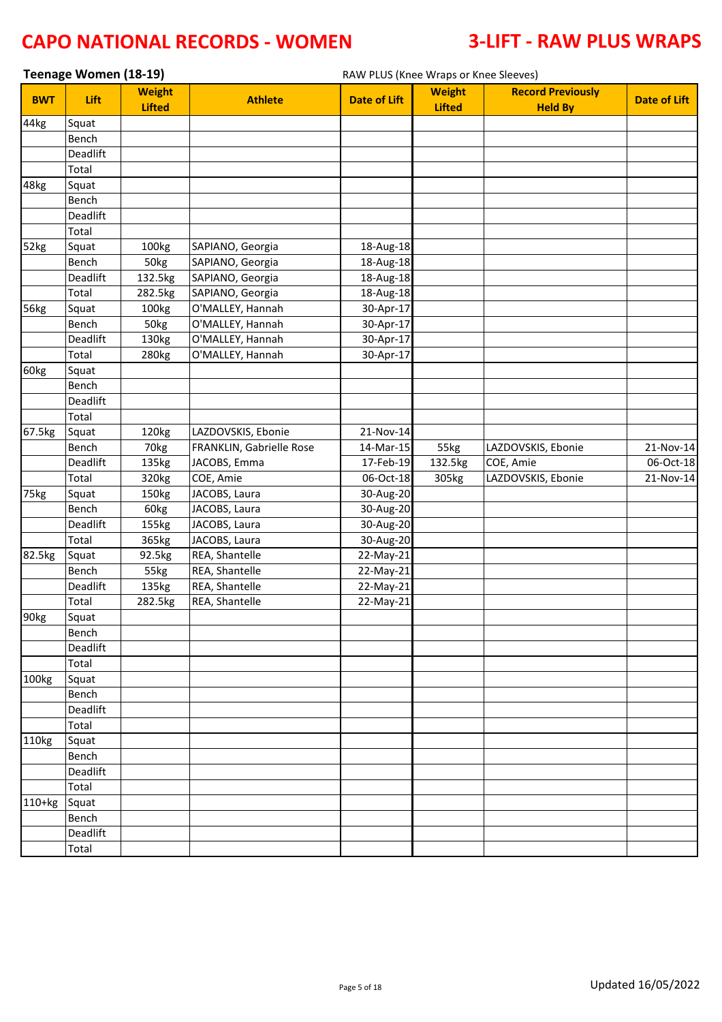| Teenage Women (18-19)<br>RAW PLUS (Knee Wraps or Knee Sleeves) |                   |                                |                                |                        |                                |                                            |                     |
|----------------------------------------------------------------|-------------------|--------------------------------|--------------------------------|------------------------|--------------------------------|--------------------------------------------|---------------------|
| <b>BWT</b>                                                     | Lift              | <b>Weight</b><br><b>Lifted</b> | <b>Athlete</b>                 | <b>Date of Lift</b>    | <b>Weight</b><br><b>Lifted</b> | <b>Record Previously</b><br><b>Held By</b> | <b>Date of Lift</b> |
| 44kg                                                           | Squat             |                                |                                |                        |                                |                                            |                     |
|                                                                | Bench             |                                |                                |                        |                                |                                            |                     |
|                                                                | Deadlift          |                                |                                |                        |                                |                                            |                     |
|                                                                | Total             |                                |                                |                        |                                |                                            |                     |
| 48kg                                                           | Squat             |                                |                                |                        |                                |                                            |                     |
|                                                                | Bench             |                                |                                |                        |                                |                                            |                     |
|                                                                | Deadlift          |                                |                                |                        |                                |                                            |                     |
|                                                                | Total             |                                |                                |                        |                                |                                            |                     |
| 52kg                                                           | Squat             | 100kg                          | SAPIANO, Georgia               | 18-Aug-18              |                                |                                            |                     |
|                                                                | Bench             | 50kg                           | SAPIANO, Georgia               | 18-Aug-18              |                                |                                            |                     |
|                                                                | Deadlift          | 132.5kg                        | SAPIANO, Georgia               | 18-Aug-18              |                                |                                            |                     |
|                                                                | Total             | 282.5kg                        | SAPIANO, Georgia               | 18-Aug-18              |                                |                                            |                     |
| 56kg                                                           | Squat             | 100kg                          | O'MALLEY, Hannah               | 30-Apr-17              |                                |                                            |                     |
|                                                                | Bench             | 50kg                           | O'MALLEY, Hannah               | 30-Apr-17              |                                |                                            |                     |
|                                                                | Deadlift          | 130kg                          | O'MALLEY, Hannah               | 30-Apr-17              |                                |                                            |                     |
|                                                                | Total             | 280kg                          | O'MALLEY, Hannah               | 30-Apr-17              |                                |                                            |                     |
| 60kg                                                           | Squat             |                                |                                |                        |                                |                                            |                     |
|                                                                | Bench             |                                |                                |                        |                                |                                            |                     |
|                                                                | Deadlift          |                                |                                |                        |                                |                                            |                     |
|                                                                | Total             |                                |                                |                        |                                |                                            |                     |
| 67.5kg                                                         | Squat             | 120kg                          | LAZDOVSKIS, Ebonie             | 21-Nov-14              |                                |                                            |                     |
|                                                                | Bench             | 70kg                           | FRANKLIN, Gabrielle Rose       | 14-Mar-15              | 55kg                           | LAZDOVSKIS, Ebonie                         | 21-Nov-14           |
|                                                                | Deadlift          | 135kg                          | JACOBS, Emma                   | 17-Feb-19              | 132.5kg                        | COE, Amie                                  | 06-Oct-18           |
|                                                                | Total             | 320kg                          | COE, Amie                      | 06-Oct-18              | 305kg                          | LAZDOVSKIS, Ebonie                         | 21-Nov-14           |
| 75kg                                                           | Squat             | 150kg                          | JACOBS, Laura                  | 30-Aug-20              |                                |                                            |                     |
|                                                                | Bench<br>Deadlift | 60kg                           | JACOBS, Laura<br>JACOBS, Laura | 30-Aug-20              |                                |                                            |                     |
|                                                                | Total             | 155kg                          | JACOBS, Laura                  | 30-Aug-20              |                                |                                            |                     |
|                                                                |                   | 365kg                          | REA, Shantelle                 | 30-Aug-20              |                                |                                            |                     |
| 82.5kg                                                         | Squat<br>Bench    | 92.5kg<br>55kg                 | REA, Shantelle                 | 22-May-21              |                                |                                            |                     |
|                                                                | Deadlift          | 135kg                          | REA, Shantelle                 | 22-May-21<br>22-May-21 |                                |                                            |                     |
|                                                                |                   | 282.5kg                        | REA, Shantelle                 | 22-May-21              |                                |                                            |                     |
| 90 <sub>kg</sub>                                               | Total             |                                |                                |                        |                                |                                            |                     |
|                                                                | Squat<br>Bench    |                                |                                |                        |                                |                                            |                     |
|                                                                | Deadlift          |                                |                                |                        |                                |                                            |                     |
|                                                                | Total             |                                |                                |                        |                                |                                            |                     |
| 100kg                                                          | Squat             |                                |                                |                        |                                |                                            |                     |
|                                                                | Bench             |                                |                                |                        |                                |                                            |                     |
|                                                                | Deadlift          |                                |                                |                        |                                |                                            |                     |
|                                                                | Total             |                                |                                |                        |                                |                                            |                     |
| 110kg                                                          | Squat             |                                |                                |                        |                                |                                            |                     |
|                                                                | Bench             |                                |                                |                        |                                |                                            |                     |
|                                                                | Deadlift          |                                |                                |                        |                                |                                            |                     |
|                                                                | Total             |                                |                                |                        |                                |                                            |                     |
| $110+kg$                                                       | Squat             |                                |                                |                        |                                |                                            |                     |
|                                                                | Bench             |                                |                                |                        |                                |                                            |                     |
|                                                                | Deadlift          |                                |                                |                        |                                |                                            |                     |
|                                                                | Total             |                                |                                |                        |                                |                                            |                     |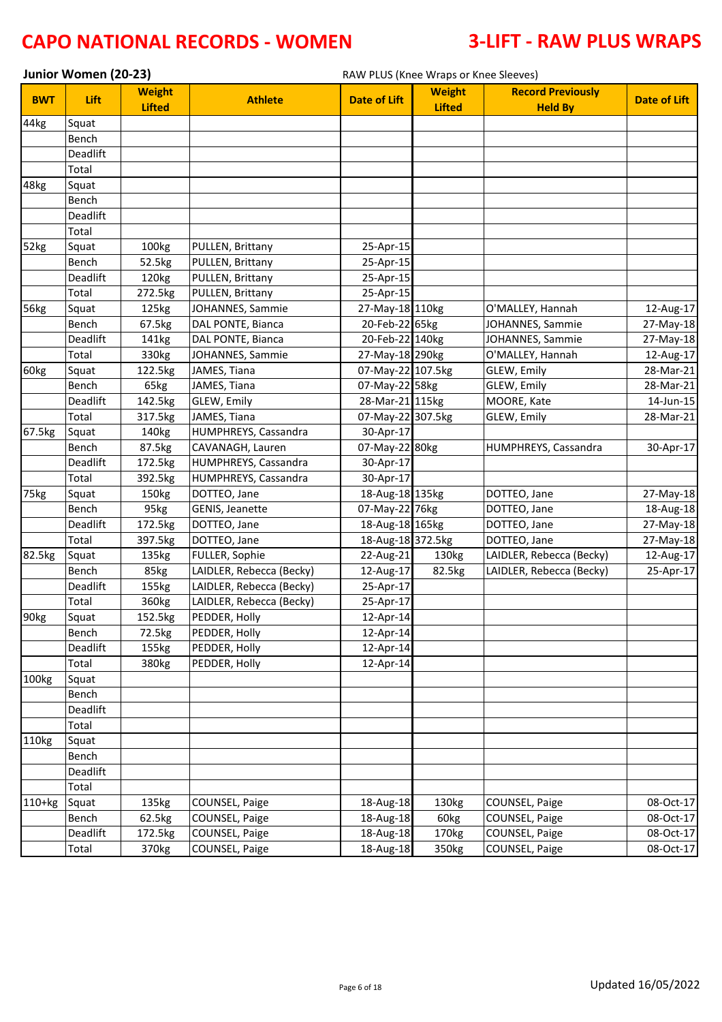|            | Junior Women (20-23) |                                |                                  | RAW PLUS (Knee Wraps or Knee Sleeves) |                                |                                            |                     |  |  |
|------------|----------------------|--------------------------------|----------------------------------|---------------------------------------|--------------------------------|--------------------------------------------|---------------------|--|--|
| <b>BWT</b> | Lift                 | <b>Weight</b><br><b>Lifted</b> | <b>Athlete</b>                   | <b>Date of Lift</b>                   | <b>Weight</b><br><b>Lifted</b> | <b>Record Previously</b><br><b>Held By</b> | <b>Date of Lift</b> |  |  |
| 44kg       | Squat                |                                |                                  |                                       |                                |                                            |                     |  |  |
|            | Bench                |                                |                                  |                                       |                                |                                            |                     |  |  |
|            | Deadlift             |                                |                                  |                                       |                                |                                            |                     |  |  |
|            | Total                |                                |                                  |                                       |                                |                                            |                     |  |  |
| 48kg       | Squat                |                                |                                  |                                       |                                |                                            |                     |  |  |
|            | Bench                |                                |                                  |                                       |                                |                                            |                     |  |  |
|            | Deadlift             |                                |                                  |                                       |                                |                                            |                     |  |  |
|            | Total                |                                |                                  |                                       |                                |                                            |                     |  |  |
| 52kg       | Squat                | 100kg                          | PULLEN, Brittany                 | 25-Apr-15                             |                                |                                            |                     |  |  |
|            | Bench                | 52.5kg                         | PULLEN, Brittany                 | 25-Apr-15                             |                                |                                            |                     |  |  |
|            | Deadlift             | 120kg                          | PULLEN, Brittany                 | 25-Apr-15                             |                                |                                            |                     |  |  |
|            | Total                | 272.5kg                        | PULLEN, Brittany                 | 25-Apr-15                             |                                |                                            |                     |  |  |
| 56kg       | Squat                | 125kg                          | JOHANNES, Sammie                 | 27-May-18 110kg                       |                                | O'MALLEY, Hannah                           | 12-Aug-17           |  |  |
|            | Bench                | 67.5kg                         | DAL PONTE, Bianca                | 20-Feb-22 65kg                        |                                | JOHANNES, Sammie                           | 27-May-18           |  |  |
|            | Deadlift             | 141kg                          | DAL PONTE, Bianca                | 20-Feb-22 140kg                       |                                | JOHANNES, Sammie                           | 27-May-18           |  |  |
|            | Total                | 330kg                          | JOHANNES, Sammie                 | 27-May-18 290kg                       |                                | O'MALLEY, Hannah                           | 12-Aug-17           |  |  |
| 60kg       | Squat                | 122.5kg                        | JAMES, Tiana                     | 07-May-22 107.5kg                     |                                | GLEW, Emily                                | 28-Mar-21           |  |  |
|            | Bench                | 65kg                           | JAMES, Tiana                     | 07-May-22 58kg                        |                                | GLEW, Emily                                | 28-Mar-21           |  |  |
|            | Deadlift             | 142.5kg                        | GLEW, Emily                      | 28-Mar-21 115kg                       |                                | MOORE, Kate                                | 14-Jun-15           |  |  |
|            | Total                | 317.5kg                        | JAMES, Tiana                     | 07-May-22 307.5kg                     |                                | GLEW, Emily                                | 28-Mar-21           |  |  |
| 67.5kg     | Squat                | 140kg                          | HUMPHREYS, Cassandra             | 30-Apr-17                             |                                |                                            |                     |  |  |
|            | Bench                | 87.5kg                         | CAVANAGH, Lauren                 | 07-May-22 80kg                        |                                | HUMPHREYS, Cassandra                       | 30-Apr-17           |  |  |
|            | Deadlift             | 172.5kg                        | HUMPHREYS, Cassandra             | 30-Apr-17                             |                                |                                            |                     |  |  |
|            | Total                | 392.5kg                        | HUMPHREYS, Cassandra             | 30-Apr-17                             |                                |                                            |                     |  |  |
| 75kg       | Squat                | 150kg                          | DOTTEO, Jane                     | 18-Aug-18 135kg                       |                                | DOTTEO, Jane                               | 27-May-18           |  |  |
|            | Bench                | 95kg                           | GENIS, Jeanette                  | 07-May-22 76kg                        |                                | DOTTEO, Jane                               | 18-Aug-18           |  |  |
|            | Deadlift             | 172.5kg                        | DOTTEO, Jane                     | 18-Aug-18 165kg                       |                                | DOTTEO, Jane                               | 27-May-18           |  |  |
|            | Total                | 397.5kg                        | DOTTEO, Jane                     | 18-Aug-18 372.5kg                     |                                | DOTTEO, Jane                               | 27-May-18           |  |  |
| 82.5kg     | Squat                | 135kg                          | FULLER, Sophie                   | 22-Aug-21                             | 130kg                          | LAIDLER, Rebecca (Becky)                   | 12-Aug-17           |  |  |
|            | Bench                | 85kg                           | LAIDLER, Rebecca (Becky)         | 12-Aug-17                             | 82.5kg                         | LAIDLER, Rebecca (Becky)                   | 25-Apr-17           |  |  |
|            | Deadlift             | 155kg                          | LAIDLER, Rebecca (Becky)         | 25-Apr-17                             |                                |                                            |                     |  |  |
|            | Total                | 360kg                          | LAIDLER, Rebecca (Becky)         | 25-Apr-17                             |                                |                                            |                     |  |  |
| 90kg       | Squat                | $\overline{152.5}$ kg          | PEDDER, Holly                    | 12-Apr-14                             |                                |                                            |                     |  |  |
|            | Bench                | 72.5kg                         | PEDDER, Holly                    | 12-Apr-14                             |                                |                                            |                     |  |  |
|            | Deadlift             | 155kg                          | PEDDER, Holly                    | 12-Apr-14                             |                                |                                            |                     |  |  |
|            | Total                | 380kg                          | PEDDER, Holly                    | 12-Apr-14                             |                                |                                            |                     |  |  |
| 100kg      | Squat                |                                |                                  |                                       |                                |                                            |                     |  |  |
|            | Bench                |                                |                                  |                                       |                                |                                            |                     |  |  |
|            | Deadlift             |                                |                                  |                                       |                                |                                            |                     |  |  |
|            | Total                |                                |                                  |                                       |                                |                                            |                     |  |  |
| 110kg      | Squat                |                                |                                  |                                       |                                |                                            |                     |  |  |
|            | Bench<br>Deadlift    |                                |                                  |                                       |                                |                                            |                     |  |  |
|            |                      |                                |                                  |                                       |                                |                                            |                     |  |  |
| $110+kg$   | Total<br>Squat       | 135kg                          |                                  | 18-Aug-18                             | 130kg                          | COUNSEL, Paige                             | 08-Oct-17           |  |  |
|            |                      |                                | COUNSEL, Paige<br>COUNSEL, Paige | 18-Aug-18                             | 60kg                           | COUNSEL, Paige                             | 08-Oct-17           |  |  |
|            | Bench<br>Deadlift    | 62.5kg<br>172.5kg              | COUNSEL, Paige                   | 18-Aug-18                             | 170kg                          | COUNSEL, Paige                             | 08-Oct-17           |  |  |
|            | Total                | 370kg                          | COUNSEL, Paige                   | 18-Aug-18                             | 350kg                          | COUNSEL, Paige                             | 08-Oct-17           |  |  |
|            |                      |                                |                                  |                                       |                                |                                            |                     |  |  |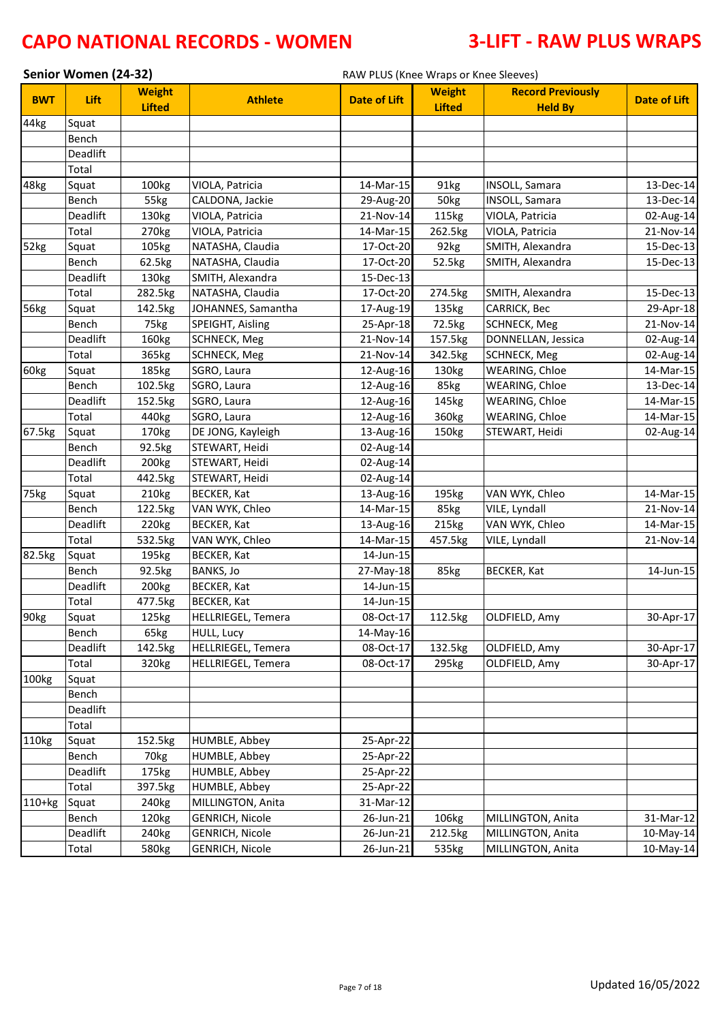|            | Senior Women (24-32) |                                |                           | RAW PLUS (Knee Wraps or Knee Sleeves) |                                |                                            |                     |
|------------|----------------------|--------------------------------|---------------------------|---------------------------------------|--------------------------------|--------------------------------------------|---------------------|
| <b>BWT</b> | Lift                 | <b>Weight</b><br><b>Lifted</b> | <b>Athlete</b>            | <b>Date of Lift</b>                   | <b>Weight</b><br><b>Lifted</b> | <b>Record Previously</b><br><b>Held By</b> | <b>Date of Lift</b> |
| 44kg       | Squat                |                                |                           |                                       |                                |                                            |                     |
|            | Bench                |                                |                           |                                       |                                |                                            |                     |
|            | Deadlift             |                                |                           |                                       |                                |                                            |                     |
|            | Total                |                                |                           |                                       |                                |                                            |                     |
| 48kg       | Squat                | 100kg                          | VIOLA, Patricia           | 14-Mar-15                             | 91kg                           | INSOLL, Samara                             | 13-Dec-14           |
|            | Bench                | 55kg                           | CALDONA, Jackie           | 29-Aug-20                             | 50kg                           | INSOLL, Samara                             | 13-Dec-14           |
|            | Deadlift             | 130kg                          | VIOLA, Patricia           | 21-Nov-14                             | 115kg                          | VIOLA, Patricia                            | 02-Aug-14           |
|            | Total                | 270 <sub>kg</sub>              | VIOLA, Patricia           | 14-Mar-15                             | 262.5kg                        | VIOLA, Patricia                            | 21-Nov-14           |
| 52kg       | Squat                | 105kg                          | NATASHA, Claudia          | 17-Oct-20                             | 92kg                           | SMITH, Alexandra                           | 15-Dec-13           |
|            | Bench                | 62.5kg                         | NATASHA, Claudia          | 17-Oct-20                             | 52.5kg                         | SMITH, Alexandra                           | 15-Dec-13           |
|            | Deadlift             | 130kg                          | SMITH, Alexandra          | 15-Dec-13                             |                                |                                            |                     |
|            | Total                | 282.5kg                        | NATASHA, Claudia          | 17-Oct-20                             | 274.5kg                        | SMITH, Alexandra                           | 15-Dec-13           |
| 56kg       | Squat                | 142.5kg                        | JOHANNES, Samantha        | 17-Aug-19                             | 135kg                          | CARRICK, Bec                               | 29-Apr-18           |
|            | Bench                | 75kg                           | SPEIGHT, Aisling          | 25-Apr-18                             | 72.5kg                         | SCHNECK, Meg                               | 21-Nov-14           |
|            | Deadlift             | 160kg                          | <b>SCHNECK, Meg</b>       | 21-Nov-14                             | 157.5kg                        | DONNELLAN, Jessica                         | 02-Aug-14           |
|            | Total                | 365kg                          | SCHNECK, Meg              | 21-Nov-14                             | 342.5kg                        | SCHNECK, Meg                               | 02-Aug-14           |
| 60kg       | Squat                | 185kg                          | SGRO, Laura               | 12-Aug-16                             | 130kg                          | WEARING, Chloe                             | 14-Mar-15           |
|            | Bench                | 102.5kg                        | SGRO, Laura               | 12-Aug-16                             | 85kg                           | WEARING, Chloe                             | 13-Dec-14           |
|            | Deadlift             | 152.5kg                        | SGRO, Laura               | 12-Aug-16                             | 145kg                          | WEARING, Chloe                             | 14-Mar-15           |
|            | Total                | 440kg                          | SGRO, Laura               | 12-Aug-16                             | 360kg                          | WEARING, Chloe                             | 14-Mar-15           |
| 67.5kg     | Squat                | 170kg                          | DE JONG, Kayleigh         | 13-Aug-16                             | 150kg                          | STEWART, Heidi                             | 02-Aug-14           |
|            | Bench                | 92.5kg                         | STEWART, Heidi            | 02-Aug-14                             |                                |                                            |                     |
|            | Deadlift             | 200kg                          | STEWART, Heidi            | 02-Aug-14                             |                                |                                            |                     |
|            | Total                | 442.5kg                        | STEWART, Heidi            | 02-Aug-14                             |                                |                                            |                     |
| 75kg       | Squat                | 210kg                          | <b>BECKER, Kat</b>        | 13-Aug-16                             | 195kg                          | VAN WYK, Chleo                             | 14-Mar-15           |
|            | Bench                | 122.5kg                        | VAN WYK, Chleo            | 14-Mar-15                             | 85kg                           | VILE, Lyndall                              | 21-Nov-14           |
|            | Deadlift             | 220 <sub>kg</sub>              | <b>BECKER, Kat</b>        | 13-Aug-16                             | 215kg                          | VAN WYK, Chleo                             | 14-Mar-15           |
|            | Total                | 532.5kg                        | VAN WYK, Chleo            | 14-Mar-15                             | 457.5kg                        | VILE, Lyndall                              | 21-Nov-14           |
| 82.5kg     | Squat                | 195kg                          | <b>BECKER, Kat</b>        | 14-Jun-15                             |                                |                                            |                     |
|            | Bench                | 92.5kg                         | <b>BANKS, Jo</b>          | 27-May-18                             | 85kg                           | BECKER, Kat                                | 14-Jun-15           |
|            | Deadlift             | 200kg                          | BECKER, Kat               | 14-Jun-15                             |                                |                                            |                     |
|            | Total                | 477.5kg                        | BECKER, Kat               | 14-Jun-15                             |                                |                                            |                     |
| 90kg       | Squat                | 125kg                          | <b>HELLRIEGEL, Temera</b> | 08-Oct-17                             | 112.5kg                        | OLDFIELD, Amy                              | 30-Apr-17           |
|            | Bench                | 65kg                           | <b>HULL, Lucy</b>         | 14-May-16                             |                                |                                            |                     |
|            | Deadlift             | 142.5kg                        | <b>HELLRIEGEL, Temera</b> | 08-Oct-17                             | 132.5kg                        | OLDFIELD, Amy                              | 30-Apr-17           |
|            | Total                | 320kg                          | HELLRIEGEL, Temera        | 08-Oct-17                             | 295kg                          | OLDFIELD, Amy                              | 30-Apr-17           |
| 100kg      | Squat                |                                |                           |                                       |                                |                                            |                     |
|            | Bench                |                                |                           |                                       |                                |                                            |                     |
|            | Deadlift             |                                |                           |                                       |                                |                                            |                     |
|            | Total                |                                |                           |                                       |                                |                                            |                     |
| 110kg      | Squat                | 152.5kg                        | HUMBLE, Abbey             | 25-Apr-22                             |                                |                                            |                     |
|            | Bench                | 70 <sub>kg</sub>               | HUMBLE, Abbey             | 25-Apr-22                             |                                |                                            |                     |
|            | Deadlift             | 175kg                          | HUMBLE, Abbey             | 25-Apr-22                             |                                |                                            |                     |
|            | Total                | 397.5kg                        | <b>HUMBLE, Abbey</b>      | 25-Apr-22                             |                                |                                            |                     |
| $110+kg$   | Squat                | 240 <sub>kg</sub>              | MILLINGTON, Anita         | 31-Mar-12                             |                                |                                            |                     |
|            | Bench                | 120kg                          | <b>GENRICH, Nicole</b>    | 26-Jun-21                             | 106kg                          | MILLINGTON, Anita                          | 31-Mar-12           |
|            | Deadlift             | 240 <sub>kg</sub>              | <b>GENRICH, Nicole</b>    | 26-Jun-21                             | 212.5kg                        | MILLINGTON, Anita                          | 10-May-14           |
|            | Total                | 580kg                          | <b>GENRICH, Nicole</b>    | 26-Jun-21                             | 535kg                          | MILLINGTON, Anita                          | 10-May-14           |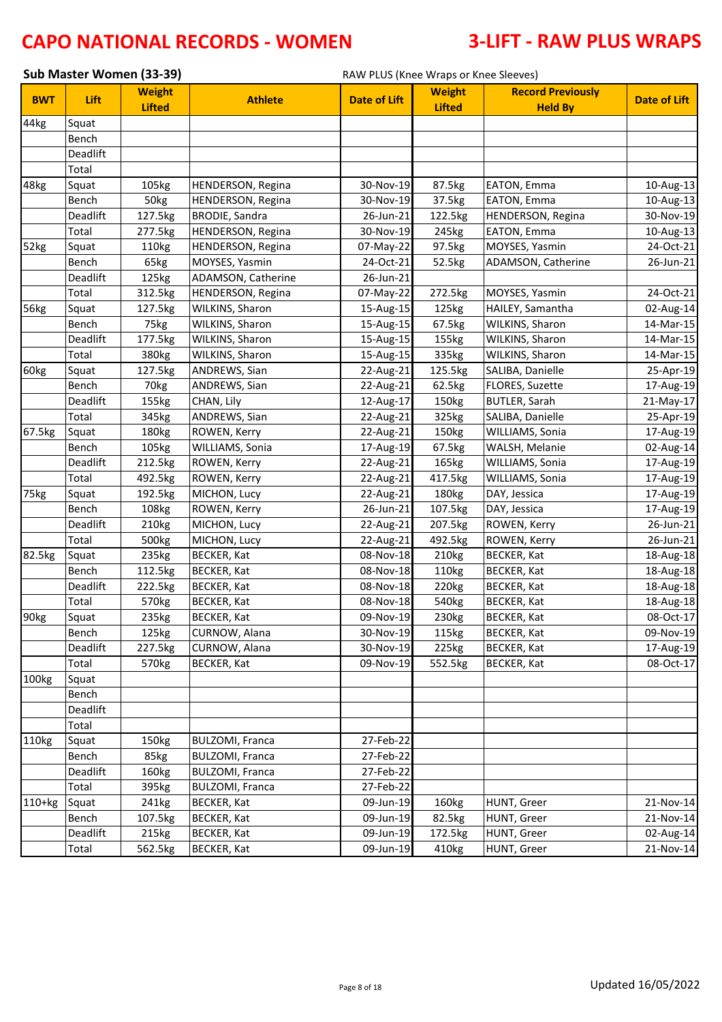|            | Sub Master Women (33-39)<br>RAW PLUS (Knee Wraps or Knee Sleeves) |                                |                          |                     |                                |                                            |                     |
|------------|-------------------------------------------------------------------|--------------------------------|--------------------------|---------------------|--------------------------------|--------------------------------------------|---------------------|
| <b>BWT</b> | Lift                                                              | <b>Weight</b><br><b>Lifted</b> | <b>Athlete</b>           | <b>Date of Lift</b> | <b>Weight</b><br><b>Lifted</b> | <b>Record Previously</b><br><b>Held By</b> | <b>Date of Lift</b> |
| 44kg       | Squat                                                             |                                |                          |                     |                                |                                            |                     |
|            | Bench                                                             |                                |                          |                     |                                |                                            |                     |
|            | Deadlift                                                          |                                |                          |                     |                                |                                            |                     |
|            | Total                                                             |                                |                          |                     |                                |                                            |                     |
| 48kg       | Squat                                                             | 105kg                          | <b>HENDERSON, Regina</b> | 30-Nov-19           | 87.5kg                         | EATON, Emma                                | 10-Aug-13           |
|            | Bench                                                             | 50kg                           | <b>HENDERSON, Regina</b> | 30-Nov-19           | 37.5kg                         | EATON, Emma                                | 10-Aug-13           |
|            | Deadlift                                                          | 127.5kg                        | <b>BRODIE, Sandra</b>    | 26-Jun-21           | 122.5kg                        | HENDERSON, Regina                          | 30-Nov-19           |
|            | Total                                                             | 277.5kg                        | <b>HENDERSON, Regina</b> | 30-Nov-19           | 245kg                          | EATON, Emma                                | 10-Aug-13           |
| 52kg       | Squat                                                             | 110kg                          | <b>HENDERSON, Regina</b> | 07-May-22           | 97.5kg                         | MOYSES, Yasmin                             | 24-Oct-21           |
|            | Bench                                                             | 65kg                           | MOYSES, Yasmin           | 24-Oct-21           | 52.5kg                         | ADAMSON, Catherine                         | 26-Jun-21           |
|            | Deadlift                                                          | 125kg                          | ADAMSON, Catherine       | 26-Jun-21           |                                |                                            |                     |
|            | Total                                                             | 312.5kg                        | <b>HENDERSON, Regina</b> | 07-May-22           | 272.5kg                        | MOYSES, Yasmin                             | 24-Oct-21           |
| 56kg       | Squat                                                             | 127.5kg                        | WILKINS, Sharon          | 15-Aug-15           | 125kg                          | HAILEY, Samantha                           | 02-Aug-14           |
|            | Bench                                                             | 75kg                           | WILKINS, Sharon          | 15-Aug-15           | 67.5kg                         | WILKINS, Sharon                            | 14-Mar-15           |
|            | Deadlift                                                          | 177.5kg                        | WILKINS, Sharon          | 15-Aug-15           | 155kg                          | WILKINS, Sharon                            | 14-Mar-15           |
|            | Total                                                             | 380kg                          | WILKINS, Sharon          | 15-Aug-15           | 335kg                          | WILKINS, Sharon                            | 14-Mar-15           |
| 60kg       | Squat                                                             | 127.5kg                        | ANDREWS, Sian            | 22-Aug-21           | 125.5kg                        | SALIBA, Danielle                           | 25-Apr-19           |
|            | Bench                                                             | 70 <sub>kg</sub>               | ANDREWS, Sian            | 22-Aug-21           | 62.5kg                         | FLORES, Suzette                            | 17-Aug-19           |
|            | Deadlift                                                          | 155kg                          | CHAN, Lily               | 12-Aug-17           | 150kg                          | <b>BUTLER, Sarah</b>                       | 21-May-17           |
|            | Total                                                             | 345kg                          | ANDREWS, Sian            | 22-Aug-21           | 325kg                          | SALIBA, Danielle                           | 25-Apr-19           |
| 67.5kg     | Squat                                                             | 180kg                          | ROWEN, Kerry             | 22-Aug-21           | 150kg                          | WILLIAMS, Sonia                            | 17-Aug-19           |
|            | Bench                                                             | 105kg                          | WILLIAMS, Sonia          | 17-Aug-19           | 67.5kg                         | WALSH, Melanie                             | 02-Aug-14           |
|            | Deadlift                                                          | 212.5kg                        | ROWEN, Kerry             | 22-Aug-21           | 165kg                          | WILLIAMS, Sonia                            | 17-Aug-19           |
|            | Total                                                             | 492.5kg                        | ROWEN, Kerry             | 22-Aug-21           | 417.5kg                        | WILLIAMS, Sonia                            | 17-Aug-19           |
| 75kg       | Squat                                                             | 192.5kg                        | MICHON, Lucy             | 22-Aug-21           | 180kg                          | DAY, Jessica                               | 17-Aug-19           |
|            | Bench                                                             | 108kg                          | ROWEN, Kerry             | 26-Jun-21           | 107.5kg                        | DAY, Jessica                               | 17-Aug-19           |
|            | Deadlift                                                          | 210kg                          | MICHON, Lucy             | 22-Aug-21           | 207.5kg                        | ROWEN, Kerry                               | 26-Jun-21           |
|            | Total                                                             | 500kg                          | MICHON, Lucy             | 22-Aug-21           | 492.5kg                        | ROWEN, Kerry                               | 26-Jun-21           |
| 82.5kg     | Squat                                                             | 235kg                          | BECKER, Kat              | 08-Nov-18           | 210kg                          | BECKER, Kat                                | 18-Aug-18           |
|            | Bench                                                             | 112.5kg                        | <b>BECKER, Kat</b>       | 08-Nov-18           | 110kg                          | BECKER, Kat                                | 18-Aug-18           |
|            | Deadlift                                                          | 222.5kg                        | <b>BECKER, Kat</b>       | 08-Nov-18           | 220kg                          | BECKER, Kat                                | 18-Aug-18           |
|            | Total                                                             | 570kg                          | <b>BECKER, Kat</b>       | 08-Nov-18           | 540kg                          | <b>BECKER, Kat</b>                         | 18-Aug-18           |
| 90kg       | Squat                                                             | 235kg                          | <b>BECKER, Kat</b>       | 09-Nov-19           | 230kg                          | <b>BECKER, Kat</b>                         | 08-Oct-17           |
|            | Bench                                                             | 125kg                          | CURNOW, Alana            | 30-Nov-19           | 115kg                          | BECKER, Kat                                | 09-Nov-19           |
|            | Deadlift                                                          | 227.5kg                        | CURNOW, Alana            | 30-Nov-19           | 225kg                          | BECKER, Kat                                | 17-Aug-19           |
|            | Total                                                             | 570kg                          | <b>BECKER, Kat</b>       | 09-Nov-19           | 552.5kg                        | <b>BECKER, Kat</b>                         | 08-Oct-17           |
| 100kg      | Squat                                                             |                                |                          |                     |                                |                                            |                     |
|            | Bench                                                             |                                |                          |                     |                                |                                            |                     |
|            | Deadlift                                                          |                                |                          |                     |                                |                                            |                     |
|            | Total                                                             |                                |                          |                     |                                |                                            |                     |
| 110kg      | Squat                                                             | 150kg                          | <b>BULZOMI, Franca</b>   | 27-Feb-22           |                                |                                            |                     |
|            | Bench                                                             | 85kg                           | <b>BULZOMI, Franca</b>   | 27-Feb-22           |                                |                                            |                     |
|            | Deadlift                                                          | 160kg                          | <b>BULZOMI, Franca</b>   | 27-Feb-22           |                                |                                            |                     |
|            | Total                                                             | 395kg                          | <b>BULZOMI, Franca</b>   | 27-Feb-22           |                                |                                            |                     |
| $110+kg$   | Squat                                                             | 241kg                          | BECKER, Kat              | 09-Jun-19           | 160kg                          | HUNT, Greer                                | 21-Nov-14           |
|            | Bench                                                             | 107.5kg                        | BECKER, Kat              | 09-Jun-19           | 82.5kg                         | HUNT, Greer                                | 21-Nov-14           |
|            | Deadlift                                                          | 215kg                          | BECKER, Kat              | 09-Jun-19           | 172.5kg                        | HUNT, Greer                                | 02-Aug-14           |
|            | Total                                                             | 562.5kg                        | <b>BECKER, Kat</b>       | 09-Jun-19           | 410kg                          | HUNT, Greer                                | 21-Nov-14           |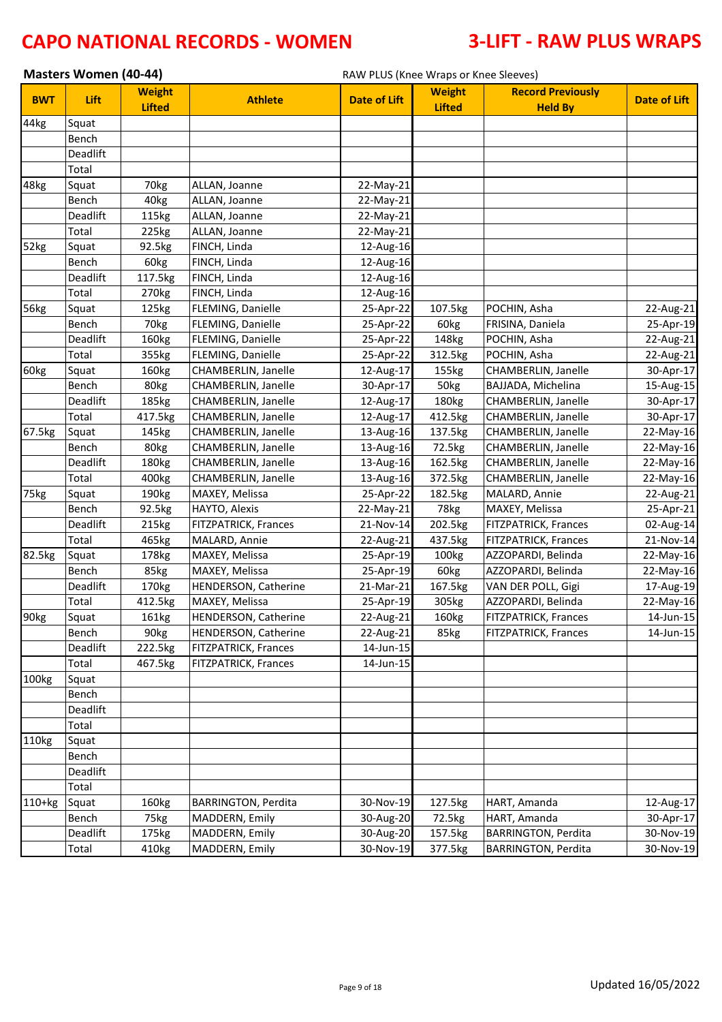|            | <b>Masters Women (40-44)</b> |                                |                             |                         | RAW PLUS (Knee Wraps or Knee Sleeves) |                                            |                         |  |  |  |
|------------|------------------------------|--------------------------------|-----------------------------|-------------------------|---------------------------------------|--------------------------------------------|-------------------------|--|--|--|
| <b>BWT</b> | Lift                         | <b>Weight</b><br><b>Lifted</b> | <b>Athlete</b>              | <b>Date of Lift</b>     | <b>Weight</b><br><b>Lifted</b>        | <b>Record Previously</b><br><b>Held By</b> | <b>Date of Lift</b>     |  |  |  |
| 44kg       | Squat                        |                                |                             |                         |                                       |                                            |                         |  |  |  |
|            | Bench                        |                                |                             |                         |                                       |                                            |                         |  |  |  |
|            | Deadlift                     |                                |                             |                         |                                       |                                            |                         |  |  |  |
|            | Total                        |                                |                             |                         |                                       |                                            |                         |  |  |  |
| 48kg       | Squat                        | 70 <sub>kg</sub>               | ALLAN, Joanne               | 22-May-21               |                                       |                                            |                         |  |  |  |
|            | Bench                        | 40 <sub>kg</sub>               | ALLAN, Joanne               | 22-May-21               |                                       |                                            |                         |  |  |  |
|            | Deadlift                     | 115kg                          | ALLAN, Joanne               | 22-May-21               |                                       |                                            |                         |  |  |  |
|            | Total                        | 225kg                          | ALLAN, Joanne               | 22-May-21               |                                       |                                            |                         |  |  |  |
| 52kg       | Squat                        | 92.5kg                         | FINCH, Linda                | 12-Aug-16               |                                       |                                            |                         |  |  |  |
|            | Bench                        | 60kg                           | FINCH, Linda                | 12-Aug-16               |                                       |                                            |                         |  |  |  |
|            | Deadlift                     | 117.5kg                        | FINCH, Linda                | 12-Aug-16               |                                       |                                            |                         |  |  |  |
|            | Total                        | 270kg                          | FINCH, Linda                | 12-Aug-16               |                                       |                                            |                         |  |  |  |
| 56kg       | Squat                        | 125kg                          | FLEMING, Danielle           | 25-Apr-22               | 107.5kg                               | POCHIN, Asha                               | 22-Aug-21               |  |  |  |
|            | Bench                        | 70 <sub>kg</sub>               | FLEMING, Danielle           | 25-Apr-22               | 60kg                                  | FRISINA, Daniela                           | 25-Apr-19               |  |  |  |
|            | Deadlift                     | 160kg                          | FLEMING, Danielle           | 25-Apr-22               | 148kg                                 | POCHIN, Asha                               | 22-Aug-21               |  |  |  |
|            | Total                        | 355kg                          | FLEMING, Danielle           | 25-Apr-22               | 312.5kg                               | POCHIN, Asha                               | 22-Aug-21               |  |  |  |
| 60kg       | Squat                        | 160kg                          | CHAMBERLIN, Janelle         | 12-Aug-17               | 155kg                                 | CHAMBERLIN, Janelle                        | 30-Apr-17               |  |  |  |
|            | Bench                        | 80kg                           | CHAMBERLIN, Janelle         | 30-Apr-17               | 50kg                                  | BAJJADA, Michelina                         | 15-Aug-15               |  |  |  |
|            | Deadlift                     | 185kg                          | CHAMBERLIN, Janelle         | 12-Aug-17               | 180 <sub>kg</sub>                     | CHAMBERLIN, Janelle                        | 30-Apr-17               |  |  |  |
|            | Total                        | 417.5kg                        | CHAMBERLIN, Janelle         | 12-Aug-17               | 412.5kg                               | CHAMBERLIN, Janelle                        | 30-Apr-17               |  |  |  |
| 67.5kg     | Squat                        | 145kg                          | CHAMBERLIN, Janelle         | 13-Aug-16               | 137.5kg                               | CHAMBERLIN, Janelle                        | 22-May-16               |  |  |  |
|            | Bench                        | 80kg                           | CHAMBERLIN, Janelle         | 13-Aug-16               | 72.5kg                                | CHAMBERLIN, Janelle                        | 22-May-16               |  |  |  |
|            | Deadlift                     | 180kg                          | CHAMBERLIN, Janelle         | 13-Aug-16               | 162.5kg                               | CHAMBERLIN, Janelle                        | 22-May-16               |  |  |  |
|            | Total                        | 400kg                          | CHAMBERLIN, Janelle         | 13-Aug-16               | 372.5kg                               | CHAMBERLIN, Janelle                        | 22-May-16               |  |  |  |
| 75kg       | Squat                        | 190kg                          | MAXEY, Melissa              | 25-Apr-22               | 182.5kg                               | MALARD, Annie                              | 22-Aug-21               |  |  |  |
|            | Bench                        | 92.5kg                         | HAYTO, Alexis               | 22-May-21               | 78kg                                  | MAXEY, Melissa                             | 25-Apr-21               |  |  |  |
|            | Deadlift                     | 215kg                          | <b>FITZPATRICK, Frances</b> | 21-Nov-14               | 202.5kg                               | FITZPATRICK, Frances                       | 02-Aug-14               |  |  |  |
|            | Total                        | 465kg                          | MALARD, Annie               | 22-Aug-21               | 437.5kg                               | FITZPATRICK, Frances                       | 21-Nov-14               |  |  |  |
| 82.5kg     | Squat                        | 178kg                          | MAXEY, Melissa              | 25-Apr-19               | 100kg                                 | AZZOPARDI, Belinda                         | 22-May-16               |  |  |  |
|            | Bench                        | 85kg                           | MAXEY, Melissa              | 25-Apr-19               | 60kg                                  | AZZOPARDI, Belinda                         | 22-May-16               |  |  |  |
|            | Deadlift                     | 170kg                          | <b>HENDERSON, Catherine</b> | 21-Mar-21               | 167.5kg                               | VAN DER POLL, Gigi                         | 17-Aug-19               |  |  |  |
|            | Total                        | 412.5kg                        | MAXEY, Melissa              | 25-Apr-19               | 305kg                                 | AZZOPARDI, Belinda                         | 22-May-16               |  |  |  |
| 90kg       | Squat                        | 161kg                          | HENDERSON, Catherine        | $\overline{22}$ -Aug-21 | 160kg                                 | FITZPATRICK, Frances                       | $\overline{14}$ -Jun-15 |  |  |  |
|            | Bench                        | 90 <sub>kg</sub>               | HENDERSON, Catherine        | 22-Aug-21               | 85kg                                  | FITZPATRICK, Frances                       | 14-Jun-15               |  |  |  |
|            | Deadlift                     | 222.5kg                        | <b>FITZPATRICK, Frances</b> | 14-Jun-15               |                                       |                                            |                         |  |  |  |
|            | Total                        | 467.5kg                        | <b>FITZPATRICK, Frances</b> | 14-Jun-15               |                                       |                                            |                         |  |  |  |
| 100kg      | Squat                        |                                |                             |                         |                                       |                                            |                         |  |  |  |
|            | Bench                        |                                |                             |                         |                                       |                                            |                         |  |  |  |
|            | Deadlift                     |                                |                             |                         |                                       |                                            |                         |  |  |  |
|            | Total                        |                                |                             |                         |                                       |                                            |                         |  |  |  |
| 110kg      | Squat                        |                                |                             |                         |                                       |                                            |                         |  |  |  |
|            | Bench                        |                                |                             |                         |                                       |                                            |                         |  |  |  |
|            | Deadlift                     |                                |                             |                         |                                       |                                            |                         |  |  |  |
|            | Total                        |                                |                             |                         |                                       |                                            |                         |  |  |  |
| $110+kg$   | Squat                        | 160kg                          | <b>BARRINGTON, Perdita</b>  | 30-Nov-19               | 127.5kg                               | HART, Amanda                               | 12-Aug-17               |  |  |  |
|            | Bench                        | 75kg                           | MADDERN, Emily              | 30-Aug-20               | 72.5kg                                | HART, Amanda                               | 30-Apr-17               |  |  |  |
|            | Deadlift                     | 175kg                          | MADDERN, Emily              | 30-Aug-20               | 157.5kg                               | <b>BARRINGTON, Perdita</b>                 | 30-Nov-19               |  |  |  |
|            | Total                        | 410kg                          | MADDERN, Emily              | 30-Nov-19               | 377.5kg                               | <b>BARRINGTON, Perdita</b>                 | 30-Nov-19               |  |  |  |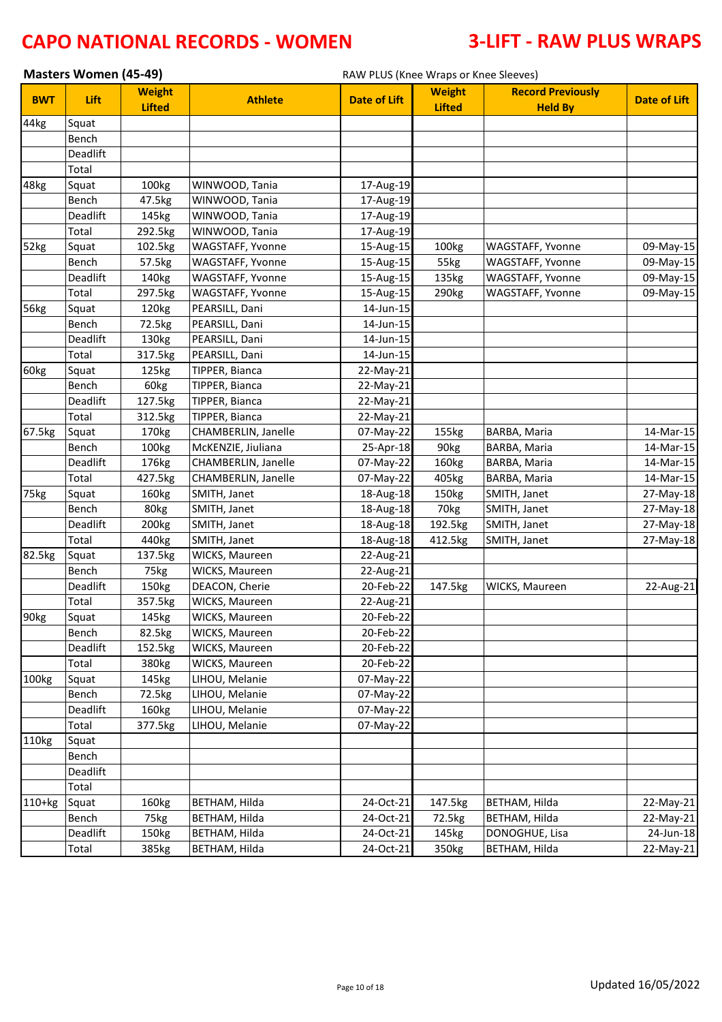|                  | Masters Women (45-49) |                                |                     | RAW PLUS (Knee Wraps or Knee Sleeves) |                                |                                            |                     |
|------------------|-----------------------|--------------------------------|---------------------|---------------------------------------|--------------------------------|--------------------------------------------|---------------------|
| <b>BWT</b>       | Lift                  | <b>Weight</b><br><b>Lifted</b> | <b>Athlete</b>      | <b>Date of Lift</b>                   | <b>Weight</b><br><b>Lifted</b> | <b>Record Previously</b><br><b>Held By</b> | <b>Date of Lift</b> |
| 44kg             | Squat                 |                                |                     |                                       |                                |                                            |                     |
|                  | Bench                 |                                |                     |                                       |                                |                                            |                     |
|                  | Deadlift              |                                |                     |                                       |                                |                                            |                     |
|                  | Total                 |                                |                     |                                       |                                |                                            |                     |
| 48kg             | Squat                 | 100kg                          | WINWOOD, Tania      | 17-Aug-19                             |                                |                                            |                     |
|                  | Bench                 | 47.5kg                         | WINWOOD, Tania      | 17-Aug-19                             |                                |                                            |                     |
|                  | Deadlift              | 145kg                          | WINWOOD, Tania      | 17-Aug-19                             |                                |                                            |                     |
|                  | Total                 | 292.5kg                        | WINWOOD, Tania      | 17-Aug-19                             |                                |                                            |                     |
| 52kg             | Squat                 | 102.5kg                        | WAGSTAFF, Yvonne    | 15-Aug-15                             | 100kg                          | WAGSTAFF, Yvonne                           | 09-May-15           |
|                  | Bench                 | 57.5kg                         | WAGSTAFF, Yvonne    | 15-Aug-15                             | 55kg                           | WAGSTAFF, Yvonne                           | 09-May-15           |
|                  | Deadlift              | 140kg                          | WAGSTAFF, Yvonne    | 15-Aug-15                             | 135kg                          | WAGSTAFF, Yvonne                           | 09-May-15           |
|                  | Total                 | 297.5kg                        | WAGSTAFF, Yvonne    | 15-Aug-15                             | 290kg                          | WAGSTAFF, Yvonne                           | 09-May-15           |
| 56kg             | Squat                 | 120kg                          | PEARSILL, Dani      | 14-Jun-15                             |                                |                                            |                     |
|                  | Bench                 | 72.5kg                         | PEARSILL, Dani      | 14-Jun-15                             |                                |                                            |                     |
|                  | Deadlift              | 130kg                          | PEARSILL, Dani      | 14-Jun-15                             |                                |                                            |                     |
|                  | Total                 | 317.5kg                        | PEARSILL, Dani      | 14-Jun-15                             |                                |                                            |                     |
| 60kg             | Squat                 | 125kg                          | TIPPER, Bianca      | 22-May-21                             |                                |                                            |                     |
|                  | Bench                 | 60kg                           | TIPPER, Bianca      | 22-May-21                             |                                |                                            |                     |
|                  | Deadlift              | 127.5kg                        | TIPPER, Bianca      | 22-May-21                             |                                |                                            |                     |
|                  | Total                 | 312.5kg                        | TIPPER, Bianca      | 22-May-21                             |                                |                                            |                     |
| 67.5kg           | Squat                 | 170kg                          | CHAMBERLIN, Janelle | 07-May-22                             | 155kg                          | BARBA, Maria                               | 14-Mar-15           |
|                  | Bench                 | 100kg                          | McKENZIE, Jiuliana  | 25-Apr-18                             | 90kg                           | BARBA, Maria                               | 14-Mar-15           |
|                  | Deadlift              | 176kg                          | CHAMBERLIN, Janelle | 07-May-22                             | 160kg                          | BARBA, Maria                               | 14-Mar-15           |
|                  | Total                 | 427.5kg                        | CHAMBERLIN, Janelle | 07-May-22                             | 405kg                          | BARBA, Maria                               | 14-Mar-15           |
| 75kg             | Squat                 | 160kg                          | SMITH, Janet        | 18-Aug-18                             | 150kg                          | SMITH, Janet                               | 27-May-18           |
|                  | Bench                 | 80kg                           | SMITH, Janet        | 18-Aug-18                             | 70kg                           | SMITH, Janet                               | 27-May-18           |
|                  | Deadlift              | 200 <sub>kg</sub>              | SMITH, Janet        | 18-Aug-18                             | 192.5kg                        | SMITH, Janet                               | 27-May-18           |
|                  | Total                 | 440kg                          | SMITH, Janet        | 18-Aug-18                             | 412.5kg                        | SMITH, Janet                               | 27-May-18           |
| 82.5kg           | Squat                 | 137.5kg                        | WICKS, Maureen      | 22-Aug-21                             |                                |                                            |                     |
|                  | Bench                 | 75kg                           | WICKS, Maureen      | 22-Aug-21                             |                                |                                            |                     |
|                  | Deadlift              | 150kg                          | DEACON, Cherie      | 20-Feb-22                             | 147.5kg                        | WICKS, Maureen                             | 22-Aug-21           |
|                  | Total                 | 357.5kg                        | WICKS, Maureen      | 22-Aug-21                             |                                |                                            |                     |
| 90 <sub>kg</sub> | Squat                 | 145kg                          | WICKS, Maureen      | 20-Feb-22                             |                                |                                            |                     |
|                  | Bench                 | 82.5kg                         | WICKS, Maureen      | 20-Feb-22                             |                                |                                            |                     |
|                  | Deadlift              | 152.5kg                        | WICKS, Maureen      | 20-Feb-22                             |                                |                                            |                     |
|                  | Total                 | 380kg                          | WICKS, Maureen      | 20-Feb-22                             |                                |                                            |                     |
| 100kg            | Squat                 | 145kg                          | LIHOU, Melanie      | 07-May-22                             |                                |                                            |                     |
|                  | Bench                 | 72.5kg                         | LIHOU, Melanie      | 07-May-22                             |                                |                                            |                     |
|                  | Deadlift              | 160kg                          | LIHOU, Melanie      | 07-May-22                             |                                |                                            |                     |
|                  | Total                 | 377.5kg                        | LIHOU, Melanie      | 07-May-22                             |                                |                                            |                     |
| 110kg            | Squat                 |                                |                     |                                       |                                |                                            |                     |
|                  | Bench                 |                                |                     |                                       |                                |                                            |                     |
|                  | Deadlift              |                                |                     |                                       |                                |                                            |                     |
|                  | Total                 |                                |                     |                                       |                                |                                            |                     |
| $110+kg$         | Squat                 | 160kg                          | BETHAM, Hilda       | 24-Oct-21                             | 147.5kg                        | BETHAM, Hilda                              | 22-May-21           |
|                  | Bench                 | 75kg                           | BETHAM, Hilda       | 24-Oct-21                             | 72.5kg                         | BETHAM, Hilda                              | 22-May-21           |
|                  | Deadlift              | 150kg                          | BETHAM, Hilda       | 24-Oct-21                             | 145kg                          | DONOGHUE, Lisa                             | $24$ -Jun-18        |
|                  | Total                 | 385kg                          | BETHAM, Hilda       | 24-Oct-21                             | 350kg                          | BETHAM, Hilda                              | 22-May-21           |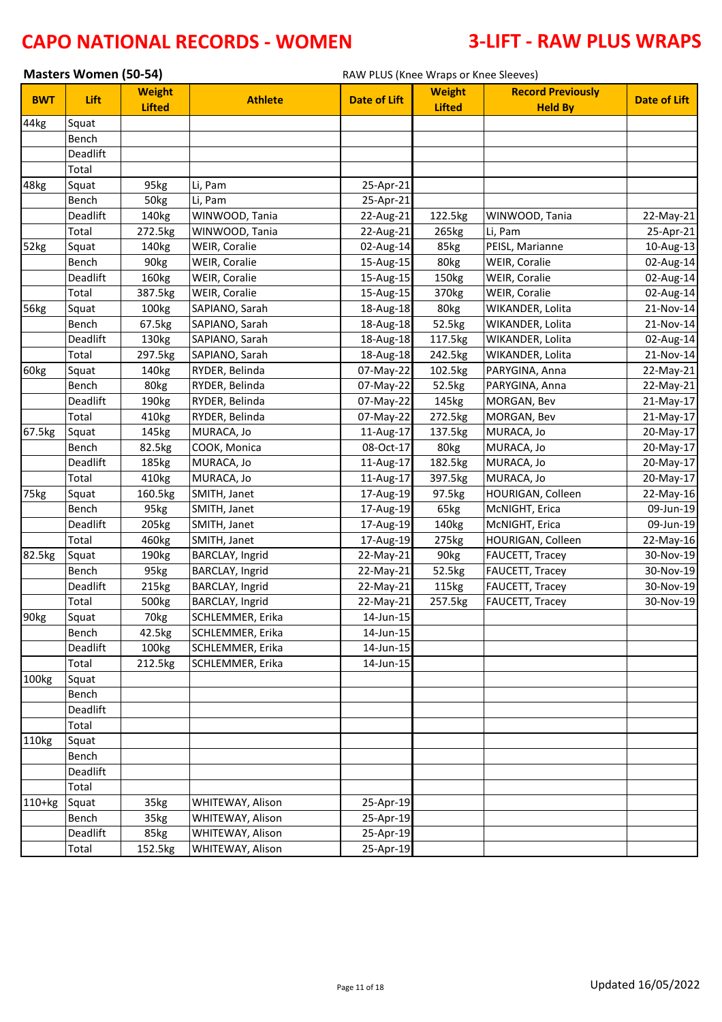|            | <b>Masters Women (50-54)</b> |                                |                        | RAW PLUS (Knee Wraps or Knee Sleeves) |                                |                                            |                     |
|------------|------------------------------|--------------------------------|------------------------|---------------------------------------|--------------------------------|--------------------------------------------|---------------------|
| <b>BWT</b> | Lift                         | <b>Weight</b><br><b>Lifted</b> | <b>Athlete</b>         | <b>Date of Lift</b>                   | <b>Weight</b><br><b>Lifted</b> | <b>Record Previously</b><br><b>Held By</b> | <b>Date of Lift</b> |
| 44kg       | Squat                        |                                |                        |                                       |                                |                                            |                     |
|            | Bench                        |                                |                        |                                       |                                |                                            |                     |
|            | Deadlift                     |                                |                        |                                       |                                |                                            |                     |
|            | Total                        |                                |                        |                                       |                                |                                            |                     |
| 48kg       | Squat                        | 95kg                           | Li, Pam                | 25-Apr-21                             |                                |                                            |                     |
|            | Bench                        | 50kg                           | Li, Pam                | 25-Apr-21                             |                                |                                            |                     |
|            | Deadlift                     | 140kg                          | WINWOOD, Tania         | 22-Aug-21                             | 122.5kg                        | WINWOOD, Tania                             | 22-May-21           |
|            | Total                        | 272.5kg                        | WINWOOD, Tania         | 22-Aug-21                             | 265kg                          | Li, Pam                                    | 25-Apr-21           |
| 52kg       | Squat                        | 140kg                          | WEIR, Coralie          | 02-Aug-14                             | 85kg                           | PEISL, Marianne                            | 10-Aug-13           |
|            | Bench                        | 90kg                           | WEIR, Coralie          | 15-Aug-15                             | 80kg                           | WEIR, Coralie                              | 02-Aug-14           |
|            | Deadlift                     | 160kg                          | WEIR, Coralie          | 15-Aug-15                             | 150kg                          | WEIR, Coralie                              | 02-Aug-14           |
|            | Total                        | 387.5kg                        | WEIR, Coralie          | 15-Aug-15                             | 370kg                          | WEIR, Coralie                              | 02-Aug-14           |
| 56kg       | Squat                        | 100kg                          | SAPIANO, Sarah         | 18-Aug-18                             | 80kg                           | WIKANDER, Lolita                           | 21-Nov-14           |
|            | Bench                        | 67.5kg                         | SAPIANO, Sarah         | 18-Aug-18                             | 52.5kg                         | WIKANDER, Lolita                           | 21-Nov-14           |
|            | Deadlift                     | 130kg                          | SAPIANO, Sarah         | 18-Aug-18                             | 117.5kg                        | WIKANDER, Lolita                           | 02-Aug-14           |
|            | Total                        | 297.5kg                        | SAPIANO, Sarah         | 18-Aug-18                             | 242.5kg                        | WIKANDER, Lolita                           | 21-Nov-14           |
| 60kg       | Squat                        | 140kg                          | RYDER, Belinda         | 07-May-22                             | 102.5kg                        | PARYGINA, Anna                             | 22-May-21           |
|            | Bench                        | 80kg                           | RYDER, Belinda         | 07-May-22                             | 52.5kg                         | PARYGINA, Anna                             | 22-May-21           |
|            | Deadlift                     | 190kg                          | RYDER, Belinda         | 07-May-22                             | 145kg                          | MORGAN, Bev                                | 21-May-17           |
|            | Total                        | 410kg                          | RYDER, Belinda         | 07-May-22                             | 272.5kg                        | MORGAN, Bev                                | 21-May-17           |
| 67.5kg     | Squat                        | 145kg                          | MURACA, Jo             | 11-Aug-17                             | 137.5kg                        | MURACA, Jo                                 | 20-May-17           |
|            | Bench                        | 82.5kg                         | COOK, Monica           | 08-Oct-17                             | 80kg                           | MURACA, Jo                                 | 20-May-17           |
|            | Deadlift                     | 185kg                          | MURACA, Jo             | 11-Aug-17                             | 182.5kg                        | MURACA, Jo                                 | 20-May-17           |
|            | Total                        | 410kg                          | MURACA, Jo             | 11-Aug-17                             | 397.5kg                        | MURACA, Jo                                 | 20-May-17           |
| 75kg       | Squat                        | 160.5kg                        | SMITH, Janet           | 17-Aug-19                             | 97.5kg                         | HOURIGAN, Colleen                          | 22-May-16           |
|            | Bench                        | 95kg                           | SMITH, Janet           | 17-Aug-19                             | 65kg                           | McNIGHT, Erica                             | 09-Jun-19           |
|            | Deadlift                     | 205kg                          | SMITH, Janet           | 17-Aug-19                             | 140kg                          | McNIGHT, Erica                             | 09-Jun-19           |
|            | Total                        | 460kg                          | SMITH, Janet           | 17-Aug-19                             | 275kg                          | HOURIGAN, Colleen                          | 22-May-16           |
| 82.5kg     | Squat                        | 190kg                          | BARCLAY, Ingrid        | 22-May-21                             | 90kg                           | <b>FAUCETT, Tracey</b>                     | 30-Nov-19           |
|            | Bench                        | 95kg                           | <b>BARCLAY, Ingrid</b> | 22-May-21                             | 52.5kg                         | <b>FAUCETT, Tracey</b>                     | 30-Nov-19           |
|            | Deadlift                     | 215kg                          | BARCLAY, Ingrid        | 22-May-21                             | 115kg                          | FAUCETT, Tracey                            | 30-Nov-19           |
|            | Total                        | 500kg                          | BARCLAY, Ingrid        | 22-May-21                             | 257.5kg                        | FAUCETT, Tracey                            | 30-Nov-19           |
| 90kg       | Squat                        | 70kg                           | SCHLEMMER, Erika       | 14-Jun-15                             |                                |                                            |                     |
|            | Bench                        | 42.5kg                         | SCHLEMMER, Erika       | 14-Jun-15                             |                                |                                            |                     |
|            | Deadlift                     | 100kg                          | SCHLEMMER, Erika       | 14-Jun-15                             |                                |                                            |                     |
|            | Total                        | 212.5kg                        | SCHLEMMER, Erika       | 14-Jun-15                             |                                |                                            |                     |
| 100kg      | Squat                        |                                |                        |                                       |                                |                                            |                     |
|            | Bench                        |                                |                        |                                       |                                |                                            |                     |
|            | Deadlift                     |                                |                        |                                       |                                |                                            |                     |
|            | Total                        |                                |                        |                                       |                                |                                            |                     |
| 110kg      | Squat                        |                                |                        |                                       |                                |                                            |                     |
|            | Bench                        |                                |                        |                                       |                                |                                            |                     |
|            | Deadlift                     |                                |                        |                                       |                                |                                            |                     |
|            | Total                        |                                |                        |                                       |                                |                                            |                     |
| $110+kg$   | Squat                        | 35kg                           | WHITEWAY, Alison       | 25-Apr-19                             |                                |                                            |                     |
|            | Bench                        | 35kg                           | WHITEWAY, Alison       | 25-Apr-19                             |                                |                                            |                     |
|            | Deadlift                     | 85kg                           | WHITEWAY, Alison       | 25-Apr-19                             |                                |                                            |                     |
|            | Total                        | 152.5kg                        | WHITEWAY, Alison       | 25-Apr-19                             |                                |                                            |                     |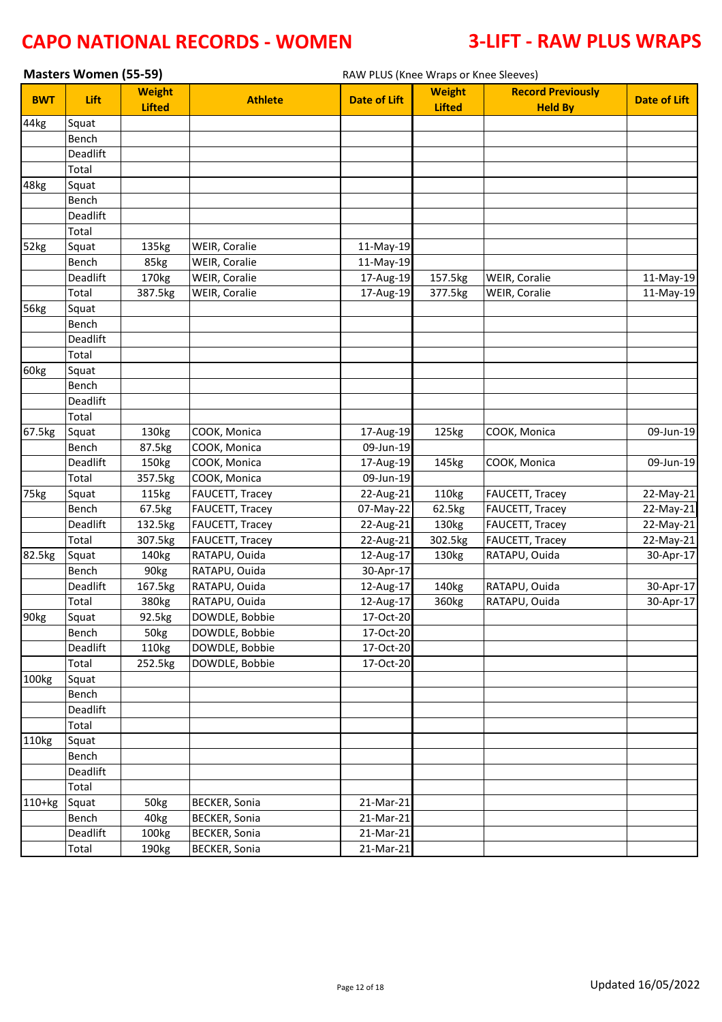|            | <b>Masters Women (55-59)</b> |                                |                      | RAW PLUS (Knee Wraps or Knee Sleeves) |                                |                                            |                     |
|------------|------------------------------|--------------------------------|----------------------|---------------------------------------|--------------------------------|--------------------------------------------|---------------------|
| <b>BWT</b> | Lift                         | <b>Weight</b><br><b>Lifted</b> | <b>Athlete</b>       | <b>Date of Lift</b>                   | <b>Weight</b><br><b>Lifted</b> | <b>Record Previously</b><br><b>Held By</b> | <b>Date of Lift</b> |
| 44kg       | Squat                        |                                |                      |                                       |                                |                                            |                     |
|            | Bench                        |                                |                      |                                       |                                |                                            |                     |
|            | Deadlift                     |                                |                      |                                       |                                |                                            |                     |
|            | Total                        |                                |                      |                                       |                                |                                            |                     |
| 48kg       | Squat                        |                                |                      |                                       |                                |                                            |                     |
|            | Bench                        |                                |                      |                                       |                                |                                            |                     |
|            | Deadlift                     |                                |                      |                                       |                                |                                            |                     |
|            | Total                        |                                |                      |                                       |                                |                                            |                     |
| 52kg       | Squat                        | 135kg                          | WEIR, Coralie        | 11-May-19                             |                                |                                            |                     |
|            | Bench                        | 85kg                           | WEIR, Coralie        | 11-May-19                             |                                |                                            |                     |
|            | Deadlift                     | 170kg                          | WEIR, Coralie        | 17-Aug-19                             | 157.5kg                        | WEIR, Coralie                              | 11-May-19           |
|            | Total                        | 387.5kg                        | WEIR, Coralie        | 17-Aug-19                             | 377.5kg                        | WEIR, Coralie                              | 11-May-19           |
| 56kg       | Squat                        |                                |                      |                                       |                                |                                            |                     |
|            | Bench                        |                                |                      |                                       |                                |                                            |                     |
|            | Deadlift                     |                                |                      |                                       |                                |                                            |                     |
|            | Total                        |                                |                      |                                       |                                |                                            |                     |
| 60kg       | Squat                        |                                |                      |                                       |                                |                                            |                     |
|            | Bench                        |                                |                      |                                       |                                |                                            |                     |
|            | Deadlift                     |                                |                      |                                       |                                |                                            |                     |
|            | Total                        |                                |                      |                                       |                                |                                            |                     |
| 67.5kg     | Squat                        | 130kg                          | COOK, Monica         | 17-Aug-19                             | 125kg                          | COOK, Monica                               | 09-Jun-19           |
|            | Bench                        | 87.5kg                         | COOK, Monica         | 09-Jun-19                             |                                |                                            |                     |
|            | Deadlift                     | 150kg                          | COOK, Monica         | 17-Aug-19                             | 145kg                          | COOK, Monica                               | 09-Jun-19           |
|            | Total                        | 357.5kg                        | COOK, Monica         | 09-Jun-19                             |                                |                                            |                     |
| 75kg       | Squat                        | 115kg                          | FAUCETT, Tracey      | 22-Aug-21                             | 110kg                          | FAUCETT, Tracey                            | 22-May-21           |
|            | Bench                        | 67.5kg                         | FAUCETT, Tracey      | 07-May-22                             | 62.5kg                         | FAUCETT, Tracey                            | 22-May-21           |
|            | Deadlift                     | 132.5kg                        | FAUCETT, Tracey      | 22-Aug-21                             | 130kg                          | FAUCETT, Tracey                            | 22-May-21           |
|            | Total                        | 307.5kg                        | FAUCETT, Tracey      | 22-Aug-21                             | 302.5kg                        | FAUCETT, Tracey                            | 22-May-21           |
| 82.5kg     | Squat                        | 140kg                          | RATAPU, Ouida        | 12-Aug-17                             | 130kg                          | RATAPU, Ouida                              | 30-Apr-17           |
|            | Bench                        | 90kg                           | RATAPU, Ouida        | 30-Apr-17                             |                                |                                            |                     |
|            | Deadlift                     | 167.5kg                        | RATAPU, Ouida        | 12-Aug-17                             | 140kg                          | RATAPU, Ouida                              | 30-Apr-17           |
|            | Total                        | 380kg                          | RATAPU, Ouida        | 12-Aug-17                             | 360kg                          | RATAPU, Ouida                              | 30-Apr-17           |
| 90kg       | Squat                        | 92.5kg                         | DOWDLE, Bobbie       | 17-Oct-20                             |                                |                                            |                     |
|            | Bench                        | 50kg                           | DOWDLE, Bobbie       | 17-Oct-20                             |                                |                                            |                     |
|            | Deadlift                     | 110kg                          | DOWDLE, Bobbie       | 17-Oct-20                             |                                |                                            |                     |
|            | Total                        | 252.5kg                        | DOWDLE, Bobbie       | 17-Oct-20                             |                                |                                            |                     |
| 100kg      | Squat                        |                                |                      |                                       |                                |                                            |                     |
|            | Bench                        |                                |                      |                                       |                                |                                            |                     |
|            | Deadlift                     |                                |                      |                                       |                                |                                            |                     |
|            | Total                        |                                |                      |                                       |                                |                                            |                     |
| 110kg      | Squat                        |                                |                      |                                       |                                |                                            |                     |
|            | Bench                        |                                |                      |                                       |                                |                                            |                     |
|            | Deadlift                     |                                |                      |                                       |                                |                                            |                     |
|            | Total                        |                                |                      |                                       |                                |                                            |                     |
| $110+kg$   | Squat                        | 50kg                           | <b>BECKER, Sonia</b> | 21-Mar-21                             |                                |                                            |                     |
|            | Bench                        | 40kg                           | <b>BECKER, Sonia</b> | 21-Mar-21                             |                                |                                            |                     |
|            | Deadlift                     | 100kg                          | <b>BECKER, Sonia</b> | 21-Mar-21                             |                                |                                            |                     |
|            | Total                        | 190kg                          | <b>BECKER, Sonia</b> | 21-Mar-21                             |                                |                                            |                     |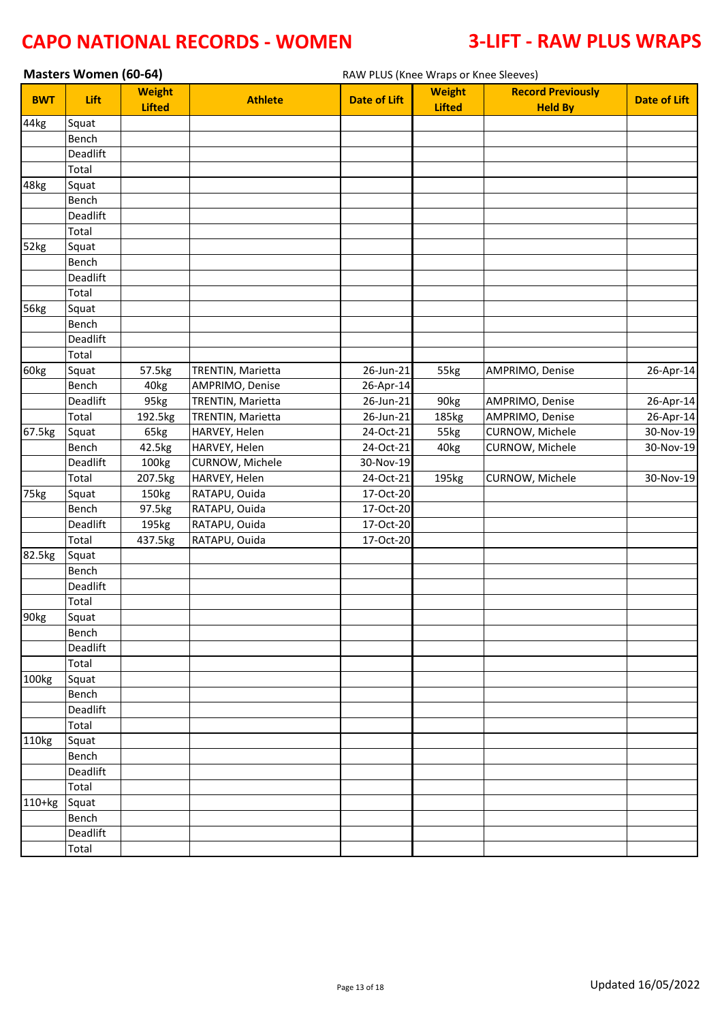|            | Masters Women (60-64) |                                |                                | RAW PLUS (Knee Wraps or Knee Sleeves) |                                |                                            |                     |
|------------|-----------------------|--------------------------------|--------------------------------|---------------------------------------|--------------------------------|--------------------------------------------|---------------------|
| <b>BWT</b> | Lift                  | <b>Weight</b><br><b>Lifted</b> | <b>Athlete</b>                 | <b>Date of Lift</b>                   | <b>Weight</b><br><b>Lifted</b> | <b>Record Previously</b><br><b>Held By</b> | <b>Date of Lift</b> |
| 44kg       | Squat                 |                                |                                |                                       |                                |                                            |                     |
|            | Bench                 |                                |                                |                                       |                                |                                            |                     |
|            | Deadlift              |                                |                                |                                       |                                |                                            |                     |
|            | Total                 |                                |                                |                                       |                                |                                            |                     |
| 48kg       | Squat                 |                                |                                |                                       |                                |                                            |                     |
|            | Bench                 |                                |                                |                                       |                                |                                            |                     |
|            | Deadlift              |                                |                                |                                       |                                |                                            |                     |
|            | Total                 |                                |                                |                                       |                                |                                            |                     |
| 52kg       | Squat                 |                                |                                |                                       |                                |                                            |                     |
|            | Bench                 |                                |                                |                                       |                                |                                            |                     |
|            | Deadlift              |                                |                                |                                       |                                |                                            |                     |
|            | Total                 |                                |                                |                                       |                                |                                            |                     |
| 56kg       | Squat                 |                                |                                |                                       |                                |                                            |                     |
|            | Bench                 |                                |                                |                                       |                                |                                            |                     |
|            | Deadlift              |                                |                                |                                       |                                |                                            |                     |
|            | Total                 |                                |                                |                                       |                                |                                            |                     |
| 60kg       | Squat                 | 57.5kg                         | TRENTIN, Marietta              | 26-Jun-21                             | 55kg                           | AMPRIMO, Denise                            | 26-Apr-14           |
|            | Bench                 | 40kg                           | AMPRIMO, Denise                | 26-Apr-14                             |                                |                                            |                     |
|            | Deadlift              | 95kg                           | TRENTIN, Marietta              | 26-Jun-21                             | 90kg                           | AMPRIMO, Denise                            | 26-Apr-14           |
|            | Total                 | 192.5kg                        | TRENTIN, Marietta              | 26-Jun-21                             | 185kg                          | AMPRIMO, Denise                            | 26-Apr-14           |
| 67.5kg     | Squat                 | 65kg                           | HARVEY, Helen                  | $24-Oct-21$                           | 55kg                           | CURNOW, Michele                            | $30-Nov-19$         |
|            | Bench                 | 42.5kg                         | HARVEY, Helen                  | 24-Oct-21                             | 40kg                           | CURNOW, Michele                            | 30-Nov-19           |
|            | Deadlift              | 100kg                          | CURNOW, Michele                | 30-Nov-19                             |                                |                                            |                     |
|            | Total                 | 207.5kg                        | HARVEY, Helen                  | 24-Oct-21<br>17-Oct-20                | 195kg                          | CURNOW, Michele                            | 30-Nov-19           |
| 75kg       | Squat<br>Bench        | 150kg<br>97.5kg                | RATAPU, Ouida<br>RATAPU, Ouida | 17-Oct-20                             |                                |                                            |                     |
|            | Deadlift              | 195kg                          | RATAPU, Ouida                  | 17-Oct-20                             |                                |                                            |                     |
|            | Total                 | 437.5kg                        | RATAPU, Ouida                  | 17-Oct-20                             |                                |                                            |                     |
| 82.5kg     | Squat                 |                                |                                |                                       |                                |                                            |                     |
|            | Bench                 |                                |                                |                                       |                                |                                            |                     |
|            | Deadlift              |                                |                                |                                       |                                |                                            |                     |
|            | Total                 |                                |                                |                                       |                                |                                            |                     |
| 90kg       | Squat                 |                                |                                |                                       |                                |                                            |                     |
|            | Bench                 |                                |                                |                                       |                                |                                            |                     |
|            | Deadlift              |                                |                                |                                       |                                |                                            |                     |
|            | Total                 |                                |                                |                                       |                                |                                            |                     |
| 100kg      | Squat                 |                                |                                |                                       |                                |                                            |                     |
|            | Bench                 |                                |                                |                                       |                                |                                            |                     |
|            | Deadlift              |                                |                                |                                       |                                |                                            |                     |
|            | Total                 |                                |                                |                                       |                                |                                            |                     |
| 110kg      | Squat                 |                                |                                |                                       |                                |                                            |                     |
|            | Bench                 |                                |                                |                                       |                                |                                            |                     |
|            | Deadlift              |                                |                                |                                       |                                |                                            |                     |
|            | Total                 |                                |                                |                                       |                                |                                            |                     |
| 110+kg     | Squat                 |                                |                                |                                       |                                |                                            |                     |
|            | Bench                 |                                |                                |                                       |                                |                                            |                     |
|            | Deadlift              |                                |                                |                                       |                                |                                            |                     |
|            | Total                 |                                |                                |                                       |                                |                                            |                     |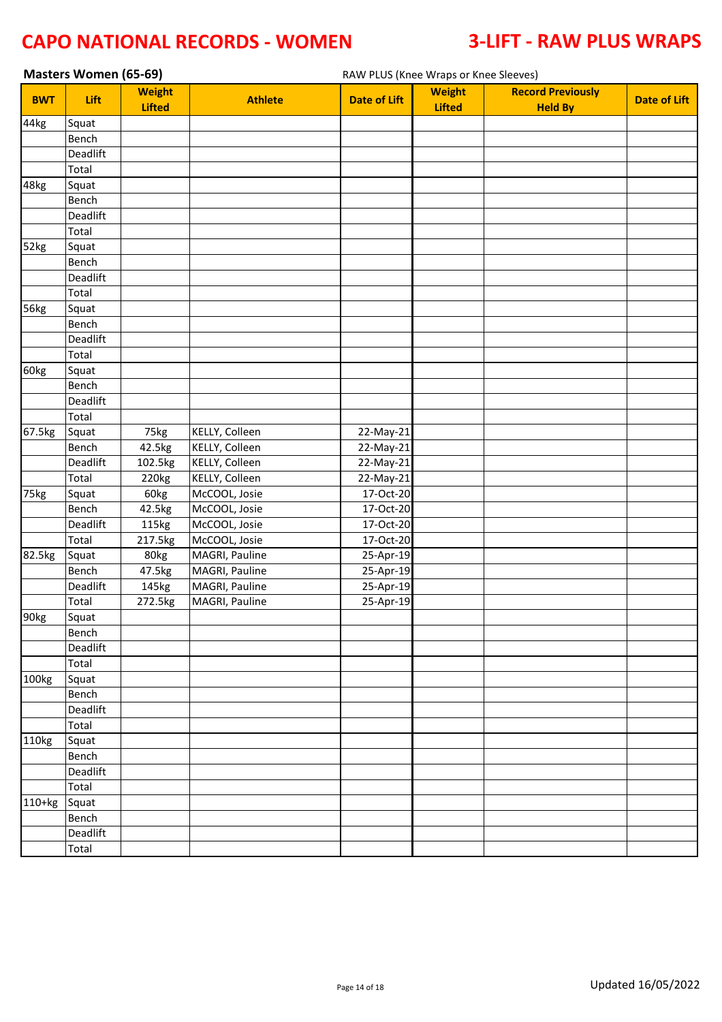| Masters Women (65-69) |                   |                                |                                | RAW PLUS (Knee Wraps or Knee Sleeves) |                                |                                            |                     |
|-----------------------|-------------------|--------------------------------|--------------------------------|---------------------------------------|--------------------------------|--------------------------------------------|---------------------|
| <b>BWT</b>            | Lift              | <b>Weight</b><br><b>Lifted</b> | <b>Athlete</b>                 | <b>Date of Lift</b>                   | <b>Weight</b><br><b>Lifted</b> | <b>Record Previously</b><br><b>Held By</b> | <b>Date of Lift</b> |
| 44kg                  | Squat             |                                |                                |                                       |                                |                                            |                     |
|                       | Bench             |                                |                                |                                       |                                |                                            |                     |
|                       | Deadlift          |                                |                                |                                       |                                |                                            |                     |
|                       | Total             |                                |                                |                                       |                                |                                            |                     |
| 48kg                  | Squat             |                                |                                |                                       |                                |                                            |                     |
|                       | Bench             |                                |                                |                                       |                                |                                            |                     |
|                       | Deadlift          |                                |                                |                                       |                                |                                            |                     |
|                       | Total             |                                |                                |                                       |                                |                                            |                     |
| 52kg                  | Squat             |                                |                                |                                       |                                |                                            |                     |
|                       | Bench             |                                |                                |                                       |                                |                                            |                     |
|                       | Deadlift          |                                |                                |                                       |                                |                                            |                     |
|                       | Total             |                                |                                |                                       |                                |                                            |                     |
| 56kg                  | Squat             |                                |                                |                                       |                                |                                            |                     |
|                       | Bench             |                                |                                |                                       |                                |                                            |                     |
|                       | Deadlift          |                                |                                |                                       |                                |                                            |                     |
|                       | Total             |                                |                                |                                       |                                |                                            |                     |
| 60kg                  | Squat             |                                |                                |                                       |                                |                                            |                     |
|                       | Bench             |                                |                                |                                       |                                |                                            |                     |
|                       | Deadlift          |                                |                                |                                       |                                |                                            |                     |
|                       | Total             |                                |                                |                                       |                                |                                            |                     |
| 67.5kg                | Squat             | 75kg                           | KELLY, Colleen                 | 22-May-21                             |                                |                                            |                     |
|                       | Bench             | 42.5kg                         | KELLY, Colleen                 | 22-May-21                             |                                |                                            |                     |
|                       | Deadlift          | 102.5kg                        | KELLY, Colleen                 | 22-May-21                             |                                |                                            |                     |
|                       | Total             | 220kg                          | KELLY, Colleen                 | 22-May-21                             |                                |                                            |                     |
| 75kg                  | Squat             | 60kg                           | McCOOL, Josie                  | 17-Oct-20                             |                                |                                            |                     |
|                       | Bench<br>Deadlift | 42.5kg                         | McCOOL, Josie<br>McCOOL, Josie | 17-Oct-20<br>17-Oct-20                |                                |                                            |                     |
|                       | Total             | 115kg                          | McCOOL, Josie                  | 17-Oct-20                             |                                |                                            |                     |
| 82.5kg                | Squat             | 217.5kg<br>80kg                | MAGRI, Pauline                 | 25-Apr-19                             |                                |                                            |                     |
|                       | Bench             | 47.5kg                         | MAGRI, Pauline                 | 25-Apr-19                             |                                |                                            |                     |
|                       | Deadlift          | 145kg                          | MAGRI, Pauline                 | 25-Apr-19                             |                                |                                            |                     |
|                       | Total             | 272.5kg                        | MAGRI, Pauline                 | 25-Apr-19                             |                                |                                            |                     |
| 90 <sub>kg</sub>      |                   |                                |                                |                                       |                                |                                            |                     |
|                       | Squat<br>Bench    |                                |                                |                                       |                                |                                            |                     |
|                       | Deadlift          |                                |                                |                                       |                                |                                            |                     |
|                       | Total             |                                |                                |                                       |                                |                                            |                     |
| 100kg                 | Squat             |                                |                                |                                       |                                |                                            |                     |
|                       | Bench             |                                |                                |                                       |                                |                                            |                     |
|                       | Deadlift          |                                |                                |                                       |                                |                                            |                     |
|                       | Total             |                                |                                |                                       |                                |                                            |                     |
| 110kg                 | Squat             |                                |                                |                                       |                                |                                            |                     |
|                       | Bench             |                                |                                |                                       |                                |                                            |                     |
|                       | Deadlift          |                                |                                |                                       |                                |                                            |                     |
|                       | Total             |                                |                                |                                       |                                |                                            |                     |
| 110+kg                | Squat             |                                |                                |                                       |                                |                                            |                     |
|                       | Bench             |                                |                                |                                       |                                |                                            |                     |
|                       | Deadlift          |                                |                                |                                       |                                |                                            |                     |
|                       | Total             |                                |                                |                                       |                                |                                            |                     |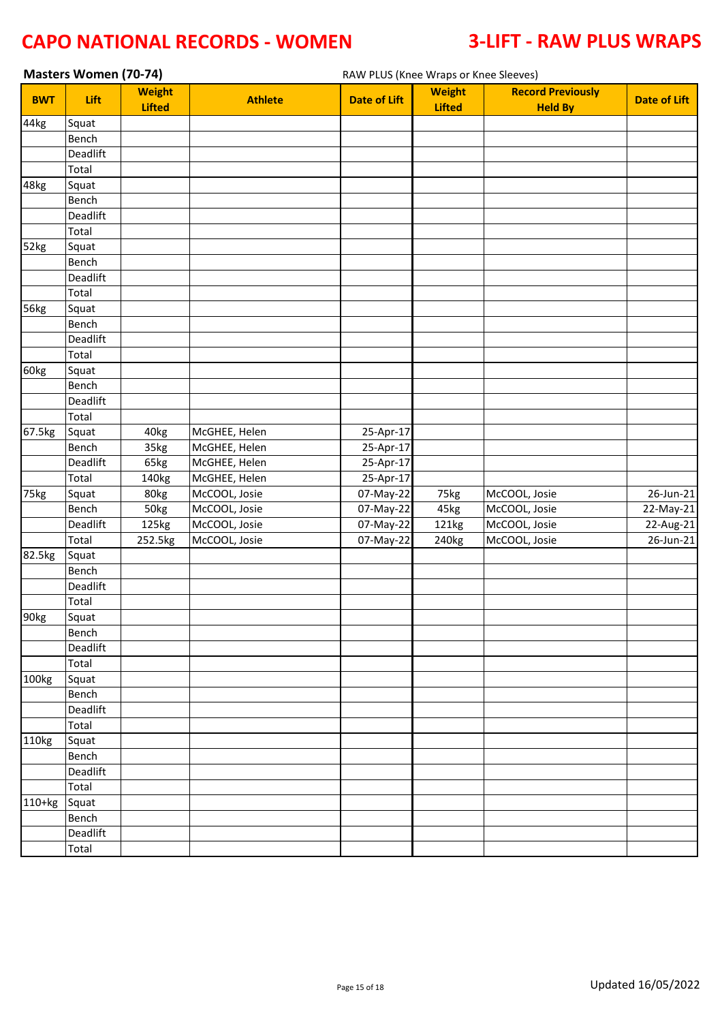|                  | <b>Masters Women (70-74)</b> |                                |                | RAW PLUS (Knee Wraps or Knee Sleeves) |                                |                                            |                         |  |
|------------------|------------------------------|--------------------------------|----------------|---------------------------------------|--------------------------------|--------------------------------------------|-------------------------|--|
| <b>BWT</b>       | Lift                         | <b>Weight</b><br><b>Lifted</b> | <b>Athlete</b> | <b>Date of Lift</b>                   | <b>Weight</b><br><b>Lifted</b> | <b>Record Previously</b><br><b>Held By</b> | <b>Date of Lift</b>     |  |
| 44kg             | Squat                        |                                |                |                                       |                                |                                            |                         |  |
|                  | Bench                        |                                |                |                                       |                                |                                            |                         |  |
|                  | Deadlift                     |                                |                |                                       |                                |                                            |                         |  |
|                  | Total                        |                                |                |                                       |                                |                                            |                         |  |
| 48kg             | Squat                        |                                |                |                                       |                                |                                            |                         |  |
|                  | Bench                        |                                |                |                                       |                                |                                            |                         |  |
|                  | Deadlift                     |                                |                |                                       |                                |                                            |                         |  |
|                  | Total                        |                                |                |                                       |                                |                                            |                         |  |
| 52kg             | Squat                        |                                |                |                                       |                                |                                            |                         |  |
|                  | Bench                        |                                |                |                                       |                                |                                            |                         |  |
|                  | Deadlift                     |                                |                |                                       |                                |                                            |                         |  |
|                  | Total                        |                                |                |                                       |                                |                                            |                         |  |
| 56kg             | Squat                        |                                |                |                                       |                                |                                            |                         |  |
|                  | Bench                        |                                |                |                                       |                                |                                            |                         |  |
|                  | Deadlift                     |                                |                |                                       |                                |                                            |                         |  |
|                  | Total                        |                                |                |                                       |                                |                                            |                         |  |
| 60kg             | Squat                        |                                |                |                                       |                                |                                            |                         |  |
|                  | Bench                        |                                |                |                                       |                                |                                            |                         |  |
|                  | Deadlift                     |                                |                |                                       |                                |                                            |                         |  |
|                  | Total                        |                                |                |                                       |                                |                                            |                         |  |
| 67.5kg           | Squat                        | 40kg                           | McGHEE, Helen  | 25-Apr-17                             |                                |                                            |                         |  |
|                  | Bench                        | 35kg                           | McGHEE, Helen  | 25-Apr-17                             |                                |                                            |                         |  |
|                  | Deadlift                     | 65kg                           | McGHEE, Helen  | 25-Apr-17                             |                                |                                            |                         |  |
|                  | Total                        | 140kg                          | McGHEE, Helen  | 25-Apr-17                             |                                |                                            |                         |  |
| 75kg             | Squat                        | 80kg                           | McCOOL, Josie  | 07-May-22                             | 75kg                           | McCOOL, Josie                              | $\overline{26}$ -Jun-21 |  |
|                  | Bench                        | 50kg                           | McCOOL, Josie  | 07-May-22                             | 45kg                           | McCOOL, Josie                              | 22-May-21               |  |
|                  | Deadlift                     | 125kg                          | McCOOL, Josie  | 07-May-22                             | 121kg                          | McCOOL, Josie                              | 22-Aug-21               |  |
|                  | Total                        | 252.5kg                        | McCOOL, Josie  | 07-May-22                             | 240kg                          | McCOOL, Josie                              | 26-Jun-21               |  |
| 82.5kg           | Squat                        |                                |                |                                       |                                |                                            |                         |  |
|                  | Bench                        |                                |                |                                       |                                |                                            |                         |  |
|                  | Deadlift                     |                                |                |                                       |                                |                                            |                         |  |
|                  | Total                        |                                |                |                                       |                                |                                            |                         |  |
| 90 <sub>kg</sub> | Squat                        |                                |                |                                       |                                |                                            |                         |  |
|                  | Bench<br>Deadlift            |                                |                |                                       |                                |                                            |                         |  |
|                  | Total                        |                                |                |                                       |                                |                                            |                         |  |
| 100kg            | Squat                        |                                |                |                                       |                                |                                            |                         |  |
|                  | Bench                        |                                |                |                                       |                                |                                            |                         |  |
|                  | Deadlift                     |                                |                |                                       |                                |                                            |                         |  |
|                  | Total                        |                                |                |                                       |                                |                                            |                         |  |
| 110kg            | Squat                        |                                |                |                                       |                                |                                            |                         |  |
|                  | Bench                        |                                |                |                                       |                                |                                            |                         |  |
|                  | Deadlift                     |                                |                |                                       |                                |                                            |                         |  |
|                  | Total                        |                                |                |                                       |                                |                                            |                         |  |
| 110+kg           | Squat                        |                                |                |                                       |                                |                                            |                         |  |
|                  | Bench                        |                                |                |                                       |                                |                                            |                         |  |
|                  | Deadlift                     |                                |                |                                       |                                |                                            |                         |  |
|                  | Total                        |                                |                |                                       |                                |                                            |                         |  |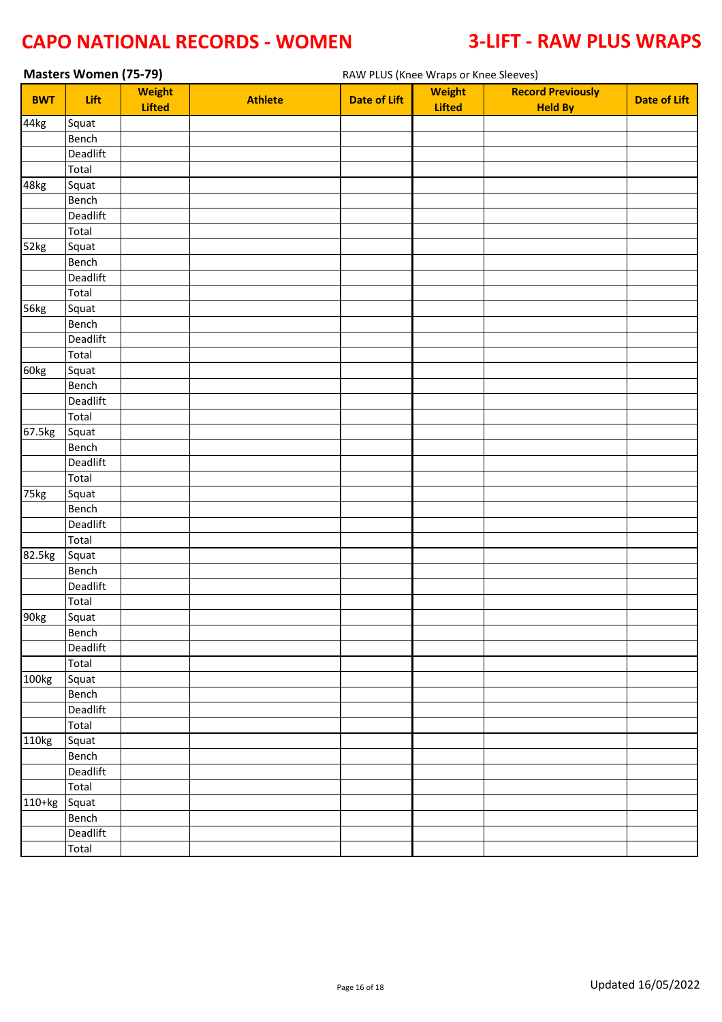|            | <b>Masters Women (75-79)</b> |               |                |                     | RAW PLUS (Knee Wraps or Knee Sleeves) |                          |                     |
|------------|------------------------------|---------------|----------------|---------------------|---------------------------------------|--------------------------|---------------------|
| <b>BWT</b> | Lift                         | <b>Weight</b> | <b>Athlete</b> | <b>Date of Lift</b> | <b>Weight</b>                         | <b>Record Previously</b> | <b>Date of Lift</b> |
|            |                              | <b>Lifted</b> |                |                     | <b>Lifted</b>                         | <b>Held By</b>           |                     |
| 44kg       | Squat                        |               |                |                     |                                       |                          |                     |
|            | Bench                        |               |                |                     |                                       |                          |                     |
|            | Deadlift                     |               |                |                     |                                       |                          |                     |
|            | Total                        |               |                |                     |                                       |                          |                     |
| 48kg       | Squat                        |               |                |                     |                                       |                          |                     |
|            | Bench                        |               |                |                     |                                       |                          |                     |
|            | Deadlift                     |               |                |                     |                                       |                          |                     |
|            | Total                        |               |                |                     |                                       |                          |                     |
| 52kg       | Squat                        |               |                |                     |                                       |                          |                     |
|            | Bench                        |               |                |                     |                                       |                          |                     |
|            | Deadlift                     |               |                |                     |                                       |                          |                     |
|            | Total                        |               |                |                     |                                       |                          |                     |
| 56kg       | Squat                        |               |                |                     |                                       |                          |                     |
|            | Bench                        |               |                |                     |                                       |                          |                     |
|            | Deadlift                     |               |                |                     |                                       |                          |                     |
|            | Total                        |               |                |                     |                                       |                          |                     |
| 60kg       | Squat                        |               |                |                     |                                       |                          |                     |
|            | Bench                        |               |                |                     |                                       |                          |                     |
|            | Deadlift                     |               |                |                     |                                       |                          |                     |
|            | Total                        |               |                |                     |                                       |                          |                     |
| 67.5kg     | Squat                        |               |                |                     |                                       |                          |                     |
|            | Bench                        |               |                |                     |                                       |                          |                     |
|            | Deadlift                     |               |                |                     |                                       |                          |                     |
|            | Total                        |               |                |                     |                                       |                          |                     |
| 75kg       | Squat                        |               |                |                     |                                       |                          |                     |
|            | Bench                        |               |                |                     |                                       |                          |                     |
|            | Deadlift                     |               |                |                     |                                       |                          |                     |
|            | Total                        |               |                |                     |                                       |                          |                     |
| 82.5kg     | Squat                        |               |                |                     |                                       |                          |                     |
|            | Bench                        |               |                |                     |                                       |                          |                     |
|            | Deadlift                     |               |                |                     |                                       |                          |                     |
|            | Total                        |               |                |                     |                                       |                          |                     |
| 90kg       | Squat                        |               |                |                     |                                       |                          |                     |
|            | Bench                        |               |                |                     |                                       |                          |                     |
|            | Deadlift                     |               |                |                     |                                       |                          |                     |
|            | Total                        |               |                |                     |                                       |                          |                     |
| 100kg      | Squat                        |               |                |                     |                                       |                          |                     |
|            | Bench                        |               |                |                     |                                       |                          |                     |
|            | Deadlift                     |               |                |                     |                                       |                          |                     |
|            | Total                        |               |                |                     |                                       |                          |                     |
| 110kg      | Squat                        |               |                |                     |                                       |                          |                     |
|            | Bench                        |               |                |                     |                                       |                          |                     |
|            | Deadlift                     |               |                |                     |                                       |                          |                     |
|            | Total                        |               |                |                     |                                       |                          |                     |
| 110+kg     | Squat                        |               |                |                     |                                       |                          |                     |
|            | Bench                        |               |                |                     |                                       |                          |                     |
|            | Deadlift                     |               |                |                     |                                       |                          |                     |
|            | Total                        |               |                |                     |                                       |                          |                     |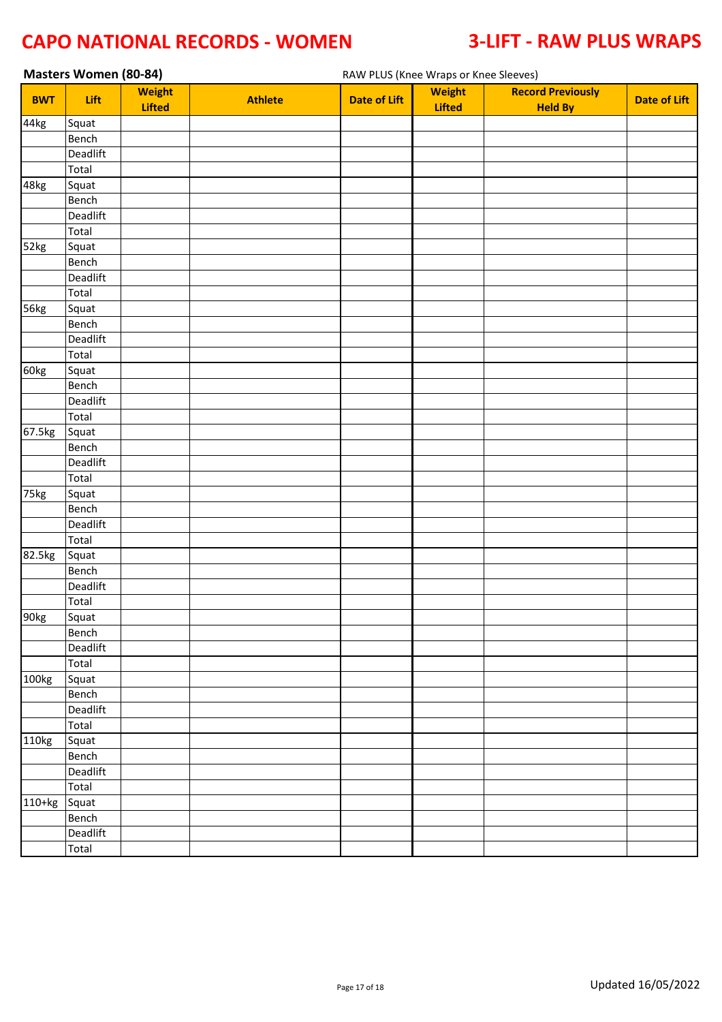|            | Masters Women (80-84) |                                |                |                     | RAW PLUS (Knee Wraps or Knee Sleeves) |                                            |                     |  |  |  |  |
|------------|-----------------------|--------------------------------|----------------|---------------------|---------------------------------------|--------------------------------------------|---------------------|--|--|--|--|
| <b>BWT</b> | Lift                  | <b>Weight</b><br><b>Lifted</b> | <b>Athlete</b> | <b>Date of Lift</b> | <b>Weight</b><br><b>Lifted</b>        | <b>Record Previously</b><br><b>Held By</b> | <b>Date of Lift</b> |  |  |  |  |
| 44kg       | Squat                 |                                |                |                     |                                       |                                            |                     |  |  |  |  |
|            | Bench                 |                                |                |                     |                                       |                                            |                     |  |  |  |  |
|            | Deadlift              |                                |                |                     |                                       |                                            |                     |  |  |  |  |
|            | Total                 |                                |                |                     |                                       |                                            |                     |  |  |  |  |
| 48kg       | Squat                 |                                |                |                     |                                       |                                            |                     |  |  |  |  |
|            | Bench                 |                                |                |                     |                                       |                                            |                     |  |  |  |  |
|            | Deadlift              |                                |                |                     |                                       |                                            |                     |  |  |  |  |
|            | Total                 |                                |                |                     |                                       |                                            |                     |  |  |  |  |
| 52kg       | Squat                 |                                |                |                     |                                       |                                            |                     |  |  |  |  |
|            | Bench                 |                                |                |                     |                                       |                                            |                     |  |  |  |  |
|            | Deadlift              |                                |                |                     |                                       |                                            |                     |  |  |  |  |
|            | Total                 |                                |                |                     |                                       |                                            |                     |  |  |  |  |
| 56kg       | Squat                 |                                |                |                     |                                       |                                            |                     |  |  |  |  |
|            | Bench                 |                                |                |                     |                                       |                                            |                     |  |  |  |  |
|            | Deadlift              |                                |                |                     |                                       |                                            |                     |  |  |  |  |
|            | Total                 |                                |                |                     |                                       |                                            |                     |  |  |  |  |
| 60kg       | Squat                 |                                |                |                     |                                       |                                            |                     |  |  |  |  |
|            | Bench                 |                                |                |                     |                                       |                                            |                     |  |  |  |  |
|            | Deadlift              |                                |                |                     |                                       |                                            |                     |  |  |  |  |
|            | Total                 |                                |                |                     |                                       |                                            |                     |  |  |  |  |
| 67.5kg     | Squat                 |                                |                |                     |                                       |                                            |                     |  |  |  |  |
|            | Bench                 |                                |                |                     |                                       |                                            |                     |  |  |  |  |
|            | Deadlift              |                                |                |                     |                                       |                                            |                     |  |  |  |  |
|            | Total                 |                                |                |                     |                                       |                                            |                     |  |  |  |  |
| 75kg       | Squat                 |                                |                |                     |                                       |                                            |                     |  |  |  |  |
|            | Bench                 |                                |                |                     |                                       |                                            |                     |  |  |  |  |
|            | Deadlift              |                                |                |                     |                                       |                                            |                     |  |  |  |  |
|            | Total                 |                                |                |                     |                                       |                                            |                     |  |  |  |  |
| 82.5kg     | Squat                 |                                |                |                     |                                       |                                            |                     |  |  |  |  |
|            | Bench                 |                                |                |                     |                                       |                                            |                     |  |  |  |  |
|            | Deadlift              |                                |                |                     |                                       |                                            |                     |  |  |  |  |
|            | Total                 |                                |                |                     |                                       |                                            |                     |  |  |  |  |
| 90kg       | Squat                 |                                |                |                     |                                       |                                            |                     |  |  |  |  |
|            | Bench                 |                                |                |                     |                                       |                                            |                     |  |  |  |  |
|            | Deadlift              |                                |                |                     |                                       |                                            |                     |  |  |  |  |
|            | Total                 |                                |                |                     |                                       |                                            |                     |  |  |  |  |
| 100kg      | Squat                 |                                |                |                     |                                       |                                            |                     |  |  |  |  |
|            | Bench                 |                                |                |                     |                                       |                                            |                     |  |  |  |  |
|            | Deadlift              |                                |                |                     |                                       |                                            |                     |  |  |  |  |
|            | Total                 |                                |                |                     |                                       |                                            |                     |  |  |  |  |
| 110kg      | Squat                 |                                |                |                     |                                       |                                            |                     |  |  |  |  |
|            | Bench                 |                                |                |                     |                                       |                                            |                     |  |  |  |  |
|            | Deadlift              |                                |                |                     |                                       |                                            |                     |  |  |  |  |
|            | Total                 |                                |                |                     |                                       |                                            |                     |  |  |  |  |
| 110+kg     | Squat<br>Bench        |                                |                |                     |                                       |                                            |                     |  |  |  |  |
|            | Deadlift              |                                |                |                     |                                       |                                            |                     |  |  |  |  |
|            | Total                 |                                |                |                     |                                       |                                            |                     |  |  |  |  |
|            |                       |                                |                |                     |                                       |                                            |                     |  |  |  |  |